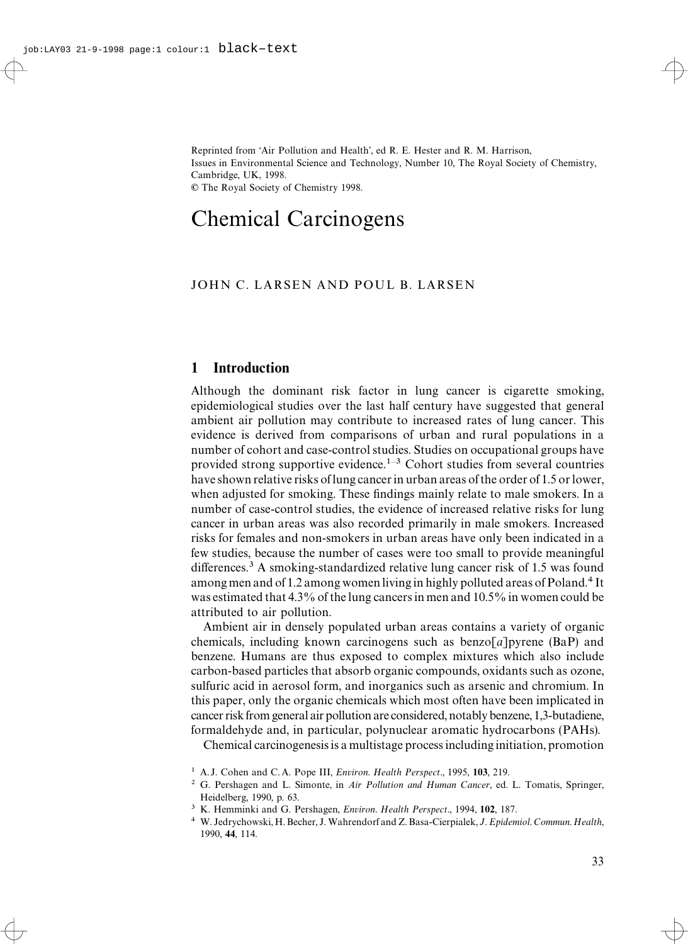Reprinted from 'Air Pollution and Health', ed R. E. Hester and R. M. Harrison, Issues in Environmental Science and Technology, Number 10, The Royal Society of Chemistry, Cambridge, UK, 1998. *©* The Royal Society of Chemistry 1998.

# Chemical Carcinogens

### JOHN C. LARSEN AND POUL B. LARSEN

### 1 Introduction

Although the dominant risk factor in lung cancer is cigarette smoking, epidemiological studies over the last half century have suggested that general ambient air pollution may contribute to increased rates of lung cancer. This evidence is derived from comparisons of urban and rural populations in a number of cohort and case-control studies. Studies on occupational groups have provided strong supportive evidence.<sup>1-3</sup> Cohort studies from several countries have shown relative risks of lung cancer in urban areas of the order of 1.5 or lower, when adjusted for smoking. These findings mainly relate to male smokers. In a number of case-control studies, the evidence of increased relative risks for lung cancer in urban areas was also recorded primarily in male smokers. Increased risks for females and non-smokers in urban areas have only been indicated in a few studies, because the number of cases were too small to provide meaningful differences.<sup>3</sup> A smoking-standardized relative lung cancer risk of 1.5 was found among men and of 1.2 among women living in highly polluted areas of Poland.<sup>4</sup> It was estimated that 4.3% of the lung cancers in men and 10.5% in women could be attributed to air pollution.

Ambient air in densely populated urban areas contains a variety of organic chemicals, including known carcinogens such as benzo $[a]$ pyrene (BaP) and benzene. Humans are thus exposed to complex mixtures which also include carbon-based particles that absorb organic compounds, oxidants such as ozone, sulfuric acid in aerosol form, and inorganics such as arsenic and chromium. In this paper, only the organic chemicals which most often have been implicated in cancer risk from general air pollution are considered, notably benzene, 1,3-butadiene, formaldehyde and, in particular, polynuclear aromatic hydrocarbons (PAHs).

Chemical carcinogenesis is a multistage process including initiation, promotion

<sup>1</sup> A. J. Cohen and C. A. Pope III, *Environ*. *Health Perspect*., 1995, 103, 219.

<sup>2</sup> G. Pershagen and L. Simonte, in *Air Pollution and Human Cancer*, ed. L. Tomatis, Springer, Heidelberg, 1990, p. 63.

<sup>3</sup> K. Hemminki and G. Pershagen, *Environ*. *Health Perspect*., 1994, 102, 187.

<sup>4</sup> W. Jedrychowski, H. Becher, J. Wahrendorf and Z. Basa-Cierpialek, *J*. *Epidemiol*. *Commun*. *Health*, 1990, 44, 114.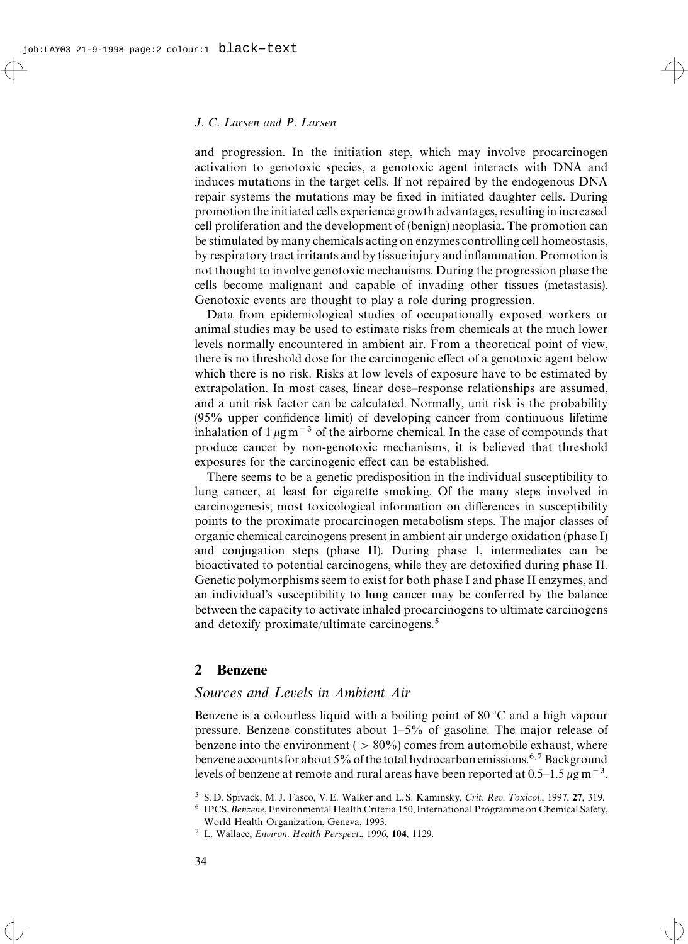and progression. In the initiation step, which may involve procarcinogen activation to genotoxic species, a genotoxic agent interacts with DNA and induces mutations in the target cells. If not repaired by the endogenous DNA repair systems the mutations may be fixed in initiated daughter cells. During promotion the initiated cells experience growth advantages, resulting in increased cell proliferation and the development of (benign) neoplasia. The promotion can be stimulated by many chemicals acting on enzymes controlling cell homeostasis, by respiratory tract irritants and by tissue injury and inflammation. Promotion is not thought to involve genotoxic mechanisms. During the progression phase the cells become malignant and capable of invading other tissues (metastasis). Genotoxic events are thought to play a role during progression.

Data from epidemiological studies of occupationally exposed workers or animal studies may be used to estimate risks from chemicals at the much lower levels normally encountered in ambient air. From a theoretical point of view, there is no threshold dose for the carcinogenic effect of a genotoxic agent below which there is no risk. Risks at low levels of exposure have to be estimated by extrapolation. In most cases, linear dose*—*response relationships are assumed, and a unit risk factor can be calculated. Normally, unit risk is the probability (95% upper confidence limit) of developing cancer from continuous lifetime inhalation of  $1 \mu g m^{-3}$  of the airborne chemical. In the case of compounds that produce cancer by non-genotoxic mechanisms, it is believed that threshold exposures for the carcinogenic effect can be established.

There seems to be a genetic predisposition in the individual susceptibility to lung cancer, at least for cigarette smoking. Of the many steps involved in carcinogenesis, most toxicological information on differences in susceptibility points to the proximate procarcinogen metabolism steps. The major classes of organic chemical carcinogens present in ambient air undergo oxidation (phase I) and conjugation steps (phase II). During phase I, intermediates can be bioactivated to potential carcinogens, while they are detoxified during phase II. Genetic polymorphisms seem to exist for both phase I and phase II enzymes, and an individual's susceptibility to lung cancer may be conferred by the balance between the capacity to activate inhaled procarcinogens to ultimate carcinogens and detoxify proximate/ultimate carcinogens.5

#### 2 Benzene

#### *Sources and Levels in Ambient Air*

Benzene is a colourless liquid with a boiling point of  $80^{\circ}$ C and a high vapour pressure. Benzene constitutes about 1*—*5% of gasoline. The major release of benzene into the environment ( $> 80\%$ ) comes from automobile exhaust, where benzene accounts for about  $5\%$  of the total hydrocarbon emissions.<sup>6,7</sup> Background levels of benzene at remote and rural areas have been reported at  $0.5-1.5 \,\mu g \,\text{m}^{-3}$ .

6 IPCS, *Benzene*, Environmental Health Criteria 150, International Programme on Chemical Safety, World Health Organization, Geneva, 1993.

7 L. Wallace, *Environ*. *Health Perspect*., 1996, 104, 1129.

<sup>5</sup> S. D. Spivack, M. J. Fasco, V. E. Walker and L. S. Kaminsky, *Crit*. *Rev*. *Toxicol*., 1997, 27, 319.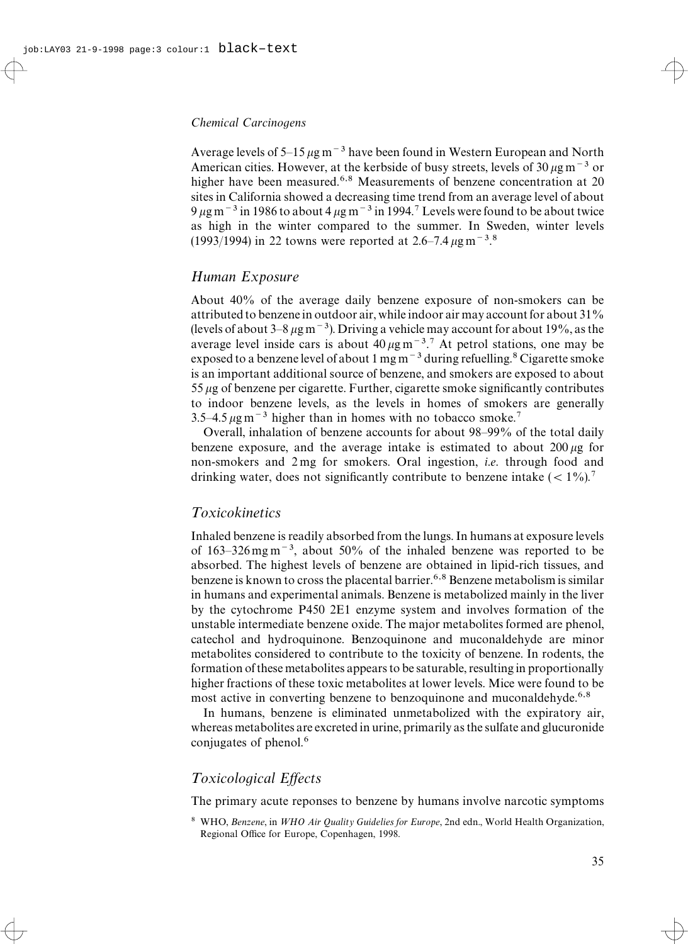Average levels of  $5-15 \mu g m^{-3}$  have been found in Western European and North American cities. However, at the kerbside of busy streets, levels of 30  $\mu$ g m<sup>-3</sup> or higher have been measured.<sup>6,8</sup> Measurements of benzene concentration at 20 sites in California showed a decreasing time trend from an average level of about 9  $\mu$ g m<sup>-3</sup> in 1986 to about 4  $\mu$ g m<sup>-3</sup> in 1994.<sup>7</sup> Levels were found to be about twice as high in the winter compared to the summer. In Sweden, winter levels (1993/1994) in 22 towns were reported at  $2.6 - 7.4 \,\mu g \,\text{m}^{-3.8}$ 

### *Human Exposure*

About 40% of the average daily benzene exposure of non-smokers can be attributed to benzene in outdoor air, while indoor air may account for about 31% (levels of about  $3-8 \mu g m^{-3}$ ). Driving a vehicle may account for about 19%, as the average level inside cars is about  $40 \mu g m^{-3.7}$  At petrol stations, one may be exposed to a benzene level of about  $1 \text{ mg m}^{-3}$  during refuelling.<sup>8</sup> Cigarette smoke is an important additional source of benzene, and smokers are exposed to about  $55 \mu$ g of benzene per cigarette. Further, cigarette smoke significantly contributes to indoor benzene levels, as the levels in homes of smokers are generally  $3.5-4.5 \,\mu g \,\text{m}^{-3}$  higher than in homes with no tobacco smoke.<sup>7</sup>

Overall, inhalation of benzene accounts for about 98*—*99% of the total daily benzene exposure, and the average intake is estimated to about  $200 \mu$ g for non-smokers and 2 mg for smokers. Oral ingestion, *i*.*e*. through food and drinking water, does not significantly contribute to benzene intake  $(< 1\%).$ <sup>7</sup>

### *Toxicokinetics*

Inhaled benzene is readily absorbed from the lungs. In humans at exposure levels of 163*—*326 mg m~3, about 50% of the inhaled benzene was reported to be absorbed. The highest levels of benzene are obtained in lipid-rich tissues, and benzene is known to cross the placental barrier.<sup>6,8</sup> Benzene metabolism is similar in humans and experimental animals. Benzene is metabolized mainly in the liver by the cytochrome P450 2E1 enzyme system and involves formation of the unstable intermediate benzene oxide. The major metabolites formed are phenol, catechol and hydroquinone. Benzoquinone and muconaldehyde are minor metabolites considered to contribute to the toxicity of benzene. In rodents, the formation of these metabolites appears to be saturable, resulting in proportionally higher fractions of these toxic metabolites at lower levels. Mice were found to be most active in converting benzene to benzoquinone and muconaldehyde.<sup>6,8</sup>

In humans, benzene is eliminated unmetabolized with the expiratory air, whereas metabolites are excreted in urine, primarily as the sulfate and glucuronide conjugates of phenol.<sup>6</sup>

# *Toxicological Effects*

The primary acute reponses to benzene by humans involve narcotic symptoms

<sup>8</sup> WHO, *Benzene*, in *WHO Air Quality Guidelies for Europe*, 2nd edn., World Health Organization, Regional Office for Europe, Copenhagen, 1998.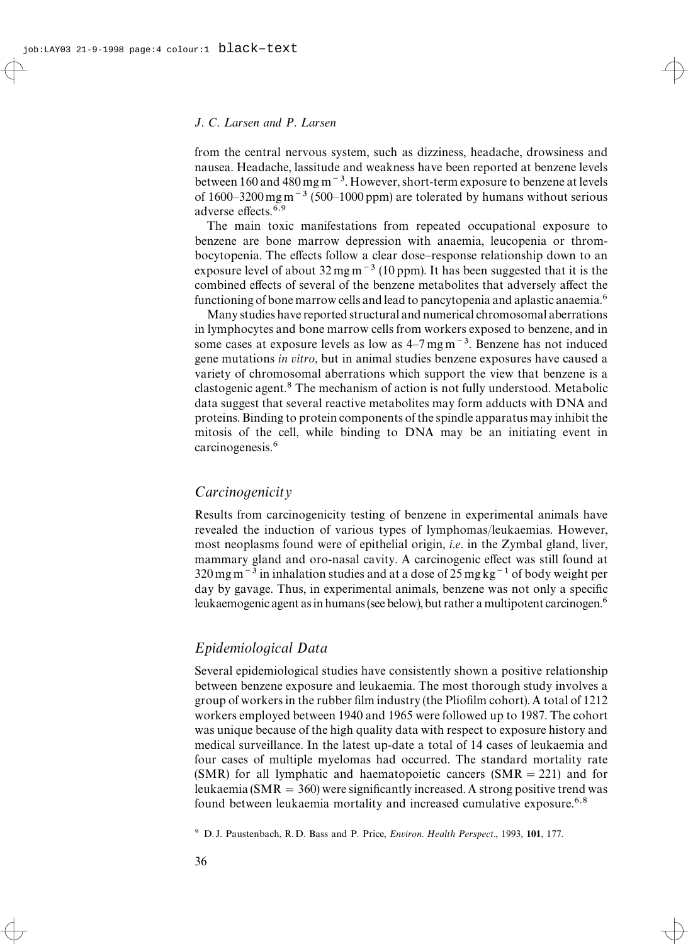from the central nervous system, such as dizziness, headache, drowsiness and nausea. Headache, lassitude and weakness have been reported at benzene levels between 160 and 480 mg m<sup> $-3$ </sup>. However, short-term exposure to benzene at levels of 1600*—*3200 mg m~3 (500*—*1000 ppm) are tolerated by humans without serious adverse effects.<sup>6,9</sup>

The main toxic manifestations from repeated occupational exposure to benzene are bone marrow depression with anaemia, leucopenia or thrombocytopenia. The effects follow a clear dose*—*response relationship down to an exposure level of about  $32 \text{ mg m}^{-3}$  (10 ppm). It has been suggested that it is the combined effects of several of the benzene metabolites that adversely affect the functioning of bone marrow cells and lead to pancytopenia and aplastic anaemia.<sup>6</sup>

Many studies have reported structural and numerical chromosomal aberrations in lymphocytes and bone marrow cells from workers exposed to benzene, and in some cases at exposure levels as low as  $4-7$  mg m<sup> $-3$ </sup>. Benzene has not induced gene mutations *in vitro*, but in animal studies benzene exposures have caused a variety of chromosomal aberrations which support the view that benzene is a clastogenic agent.8 The mechanism of action is not fully understood. Metabolic data suggest that several reactive metabolites may form adducts with DNA and proteins. Binding to protein components of the spindle apparatus may inhibit the mitosis of the cell, while binding to DNA may be an initiating event in carcinogenesis.<sup>6</sup>

### *Carcinogenicity*

Results from carcinogenicity testing of benzene in experimental animals have revealed the induction of various types of lymphomas/leukaemias. However, most neoplasms found were of epithelial origin, *i*.*e*. in the Zymbal gland, liver, mammary gland and oro-nasal cavity. A carcinogenic effect was still found at  $320$  mg m<sup>-3</sup> in inhalation studies and at a dose of 25 mg kg<sup>-1</sup> of body weight per day by gavage. Thus, in experimental animals, benzene was not only a specific leukaemogenic agent as in humans (see below), but rather a multipotent carcinogen.6

#### *Epidemiological Data*

Several epidemiological studies have consistently shown a positive relationship between benzene exposure and leukaemia. The most thorough study involves a group of workers in the rubber film industry (the Pliofilm cohort). A total of 1212 workers employed between 1940 and 1965 were followed up to 1987. The cohort was unique because of the high quality data with respect to exposure history and medical surveillance. In the latest up-date a total of 14 cases of leukaemia and four cases of multiple myelomas had occurred. The standard mortality rate (SMR) for all lymphatic and haematopoietic cancers (SMR = 221) and for leukaemia (SMR = 360) were significantly increased. A strong positive trend was found between leukaemia mortality and increased cumulative exposure.<sup>6,8</sup>

9 D. J. Paustenbach, R. D. Bass and P. Price, *Environ*. *Health Perspect*., 1993, 101, 177.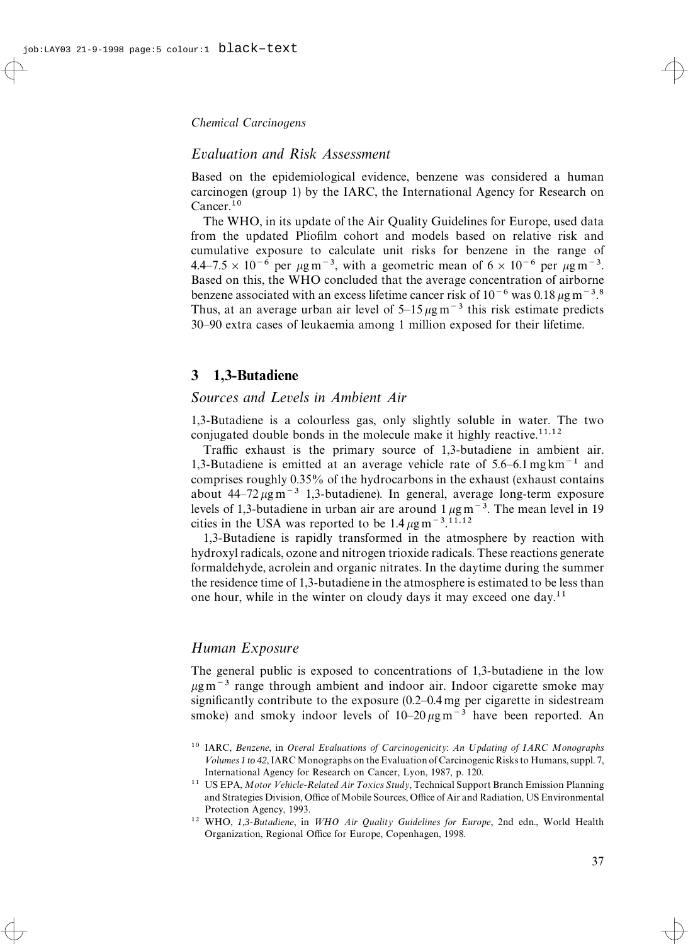# *Evaluation and Risk Assessment*

Based on the epidemiological evidence, benzene was considered a human carcinogen (group 1) by the IARC, the International Agency for Research on  $Cancer<sup>10</sup>$ 

The WHO, in its update of the Air Quality Guidelines for Europe, used data from the updated Pliofilm cohort and models based on relative risk and cumulative exposure to calculate unit risks for benzene in the range of  $4.4-7.5 \times 10^{-6}$  per  $\mu$ g m<sup>-3</sup>, with a geometric mean of  $6 \times 10^{-6}$  per  $\mu$ g m<sup>-3</sup>. Based on this, the WHO concluded that the average concentration of airborne benzene associated with an excess lifetime cancer risk of  $10^{-6}$  was 0.18  $\mu$ g m<sup>-3.8</sup> Thus, at an average urban air level of  $5-15 \mu g m^{-3}$  this risk estimate predicts 30*—*90 extra cases of leukaemia among 1 million exposed for their lifetime.

# 3 1,3-Butadiene

# *Sources and Levels in Ambient Air*

1,3-Butadiene is a colourless gas, only slightly soluble in water. The two conjugated double bonds in the molecule make it highly reactive.<sup>11,12</sup>

Traffic exhaust is the primary source of 1,3-butadiene in ambient air. 1,3-Butadiene is emitted at an average vehicle rate of  $5.6-6.1$  mg km<sup> $-1$ </sup> and comprises roughly 0.35% of the hydrocarbons in the exhaust (exhaust contains about  $44-72 \mu g m^{-3}$  1,3-butadiene). In general, average long-term exposure levels of 1,3-butadiene in urban air are around  $1 \mu g m^{-3}$ . The mean level in 19 cities in the USA was reported to be  $1.4 \,\mu g \,\text{m}^{-3}$ .<sup>11,12</sup>

1,3-Butadiene is rapidly transformed in the atmosphere by reaction with hydroxyl radicals, ozone and nitrogen trioxide radicals. These reactions generate formaldehyde, acrolein and organic nitrates. In the daytime during the summer the residence time of 1,3-butadiene in the atmosphere is estimated to be less than one hour, while in the winter on cloudy days it may exceed one day.<sup>11</sup>

#### *Human Exposure*

The general public is exposed to concentrations of 1,3-butadiene in the low  $\mu$ g m<sup> $-3$ </sup> range through ambient and indoor air. Indoor cigarette smoke may significantly contribute to the exposure (0.2*—*0.4 mg per cigarette in sidestream smoke) and smoky indoor levels of  $10-20 \mu g m^{-3}$  have been reported. An

<sup>10</sup> IARC, *Benzene*, in *Overal Evaluations of Carcinogenicity*: *An Updating of IARC Monographs Volumes 1 to 42*, IARC Monographs on the Evaluation of Carcinogenic Risks to Humans, suppl. 7, International Agency for Research on Cancer, Lyon, 1987, p. 120.

<sup>11</sup> US EPA, *Motor Vehicle*-*Related Air Toxics Study*, Technical Support Branch Emission Planning and Strategies Division, Office of Mobile Sources, Office of Air and Radiation, US Environmental Protection Agency, 1993.

<sup>12</sup> WHO, *1,3-Butadiene*, in *WHO Air Quality Guidelines for Europe*, 2nd edn., World Health Organization, Regional Office for Europe, Copenhagen, 1998.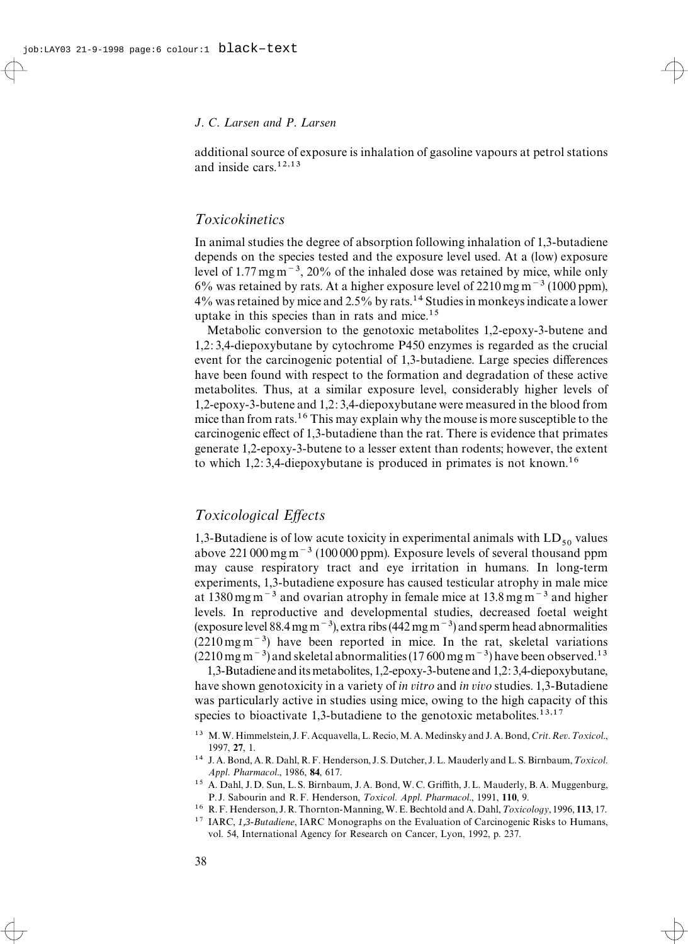additional source of exposure is inhalation of gasoline vapours at petrol stations and inside cars. $12,13$ 

# *Toxicokinetics*

In animal studies the degree of absorption following inhalation of 1,3-butadiene depends on the species tested and the exposure level used. At a (low) exposure level of  $1.77 \text{ mg m}^{-3}$ ,  $20\%$  of the inhaled dose was retained by mice, while only 6% was retained by rats. At a higher exposure level of  $2210 \,\text{mg m}^{-3}$  (1000 ppm), 4% was retained by mice and 2.5% by rats.14 Studies in monkeys indicate a lower uptake in this species than in rats and mice.<sup>15</sup>

Metabolic conversion to the genotoxic metabolites 1,2-epoxy-3-butene and 1,2: 3,4-diepoxybutane by cytochrome P450 enzymes is regarded as the crucial event for the carcinogenic potential of 1,3-butadiene. Large species differences have been found with respect to the formation and degradation of these active metabolites. Thus, at a similar exposure level, considerably higher levels of 1,2-epoxy-3-butene and 1,2: 3,4-diepoxybutane were measured in the blood from mice than from rats.<sup>16</sup> This may explain why the mouse is more susceptible to the carcinogenic effect of 1,3-butadiene than the rat. There is evidence that primates generate 1,2-epoxy-3-butene to a lesser extent than rodents; however, the extent to which 1,2:3,4-diepoxybutane is produced in primates is not known.<sup>16</sup>

# *Toxicological Effects*

1,3-Butadiene is of low acute toxicity in experimental animals with  $LD_{50}$  values above  $221\,000\,\text{mg}\,\text{m}^{-3}$  (100 000 ppm). Exposure levels of several thousand ppm may cause respiratory tract and eye irritation in humans. In long-term experiments, 1,3-butadiene exposure has caused testicular atrophy in male mice at 1380 mg m<sup> $-3$ </sup> and ovarian atrophy in female mice at 13.8 mg m<sup> $-3$ </sup> and higher levels. In reproductive and developmental studies, decreased foetal weight (exposure level 88.4 mg m<sup>-3</sup>), extra ribs (442 mg m<sup>-3</sup>) and sperm head abnormalities  $(2210 \,\mathrm{mg\,m}^{-3})$  have been reported in mice. In the rat, skeletal variations  $(2210 \text{ mg m}^{-3})$  and skeletal abnormalities  $(17600 \text{ mg m}^{-3})$  have been observed.<sup>13</sup>

1,3-Butadiene and its metabolites, 1,2-epoxy-3-butene and 1,2: 3,4-diepoxybutane, have shown genotoxicity in a variety of *in vitro* and *in vivo* studies. 1,3-Butadiene was particularly active in studies using mice, owing to the high capacity of this species to bioactivate 1,3-butadiene to the genotoxic metabolites.<sup>13,17</sup>

- 13 M.W. Himmelstein, J. F. Acquavella, L. Recio,M. A. Medinsky and J. A. Bond, *Crit*. *Rev*. *Toxicol*., 1997, 27, 1.
- 14 J. A. Bond, A. R. Dahl, R. F. Henderson, J. S. Dutcher, J. L. Mauderly and L. S. Birnbaum,*Toxicol*. *Appl*. *Pharmacol*., 1986, 84, 617.
- 15 A. Dahl, J. D. Sun, L. S. Birnbaum, J. A. Bond, W. C. Griffith, J. L. Mauderly, B. A. Muggenburg, P. J. Sabourin and R. F. Henderson, *Toxicol*. *Appl*. *Pharmacol*., 1991, 110, 9.
- 16 R. F. Henderson, J. R. Thornton-Manning,W. E. Bechtold and A. Dahl, *Toxicology*, 1996, 113, 17.
- 17 IARC, *1,3-Butadiene*, IARC Monographs on the Evaluation of Carcinogenic Risks to Humans, vol. 54, International Agency for Research on Cancer, Lyon, 1992, p. 237.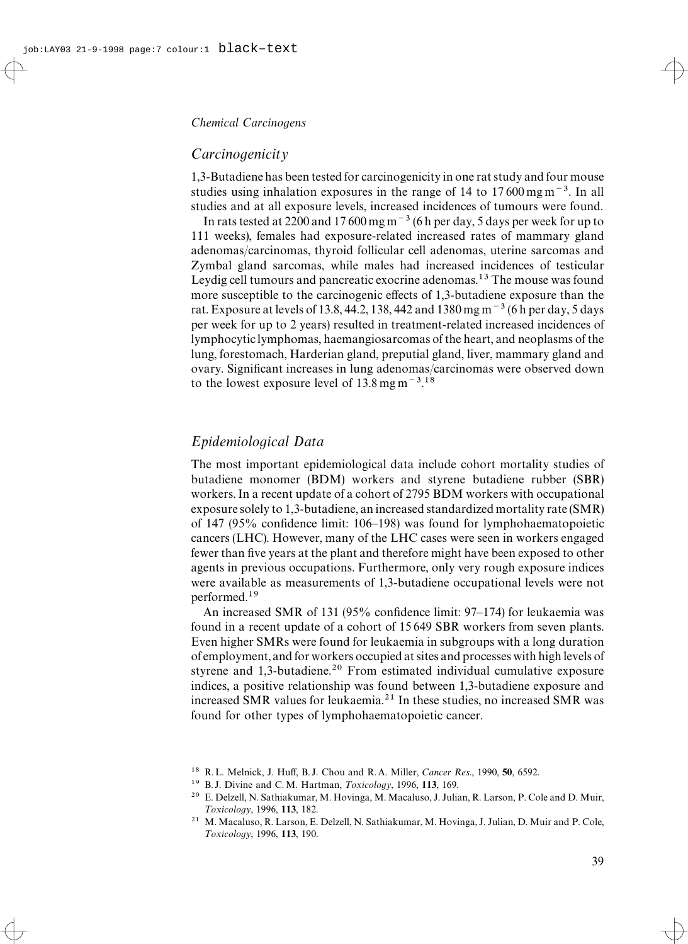### *Carcinogenicity*

1,3-Butadiene has been tested for carcinogenicity in one rat study and four mouse studies using inhalation exposures in the range of 14 to  $17600 \,\mathrm{mg\,m}^{-3}$ . In all studies and at all exposure levels, increased incidences of tumours were found.

In rats tested at 2200 and 17 600 mg m<sup> $-3$ </sup> (6 h per day, 5 days per week for up to 111 weeks), females had exposure-related increased rates of mammary gland adenomas/carcinomas, thyroid follicular cell adenomas, uterine sarcomas and Zymbal gland sarcomas, while males had increased incidences of testicular Leydig cell tumours and pancreatic exocrine adenomas.<sup>13</sup> The mouse was found more susceptible to the carcinogenic effects of 1,3-butadiene exposure than the rat. Exposure at levels of 13.8, 44.2, 138, 442 and 1380 mg m~3 (6 h per day, 5 days per week for up to 2 years) resulted in treatment-related increased incidences of lymphocytic lymphomas, haemangiosarcomas of the heart, and neoplasms of the lung, forestomach, Harderian gland, preputial gland, liver, mammary gland and ovary. Significant increases in lung adenomas/carcinomas were observed down to the lowest exposure level of  $13.8 \,\mathrm{mg\,m}^{-3}$ .<sup>18</sup>

# *Epidemiological Data*

The most important epidemiological data include cohort mortality studies of butadiene monomer (BDM) workers and styrene butadiene rubber (SBR) workers. In a recent update of a cohort of 2795 BDM workers with occupational exposure solely to 1,3-butadiene, an increased standardized mortality rate (SMR) of 147 (95% confidence limit: 106*—*198) was found for lymphohaematopoietic cancers (LHC). However, many of the LHC cases were seen in workers engaged fewer than five years at the plant and therefore might have been exposed to other agents in previous occupations. Furthermore, only very rough exposure indices were available as measurements of 1,3-butadiene occupational levels were not performed.19

An increased SMR of 131 (95% confidence limit: 97*—*174) for leukaemia was found in a recent update of a cohort of 15 649 SBR workers from seven plants. Even higher SMRs were found for leukaemia in subgroups with a long duration of employment, and for workers occupied at sites and processes with high levels of styrene and 1,3-butadiene.<sup>20</sup> From estimated individual cumulative exposure indices, a positive relationship was found between 1,3-butadiene exposure and increased SMR values for leukaemia.<sup>21</sup> In these studies, no increased SMR was found for other types of lymphohaematopoietic cancer.

<sup>18</sup> R. L. Melnick, J. Huff, B. J. Chou and R. A. Miller, *Cancer Res*., 1990, 50, 6592.

<sup>19</sup> B. J. Divine and C.M. Hartman, *Toxicology*, 1996, 113, 169.

<sup>20</sup> E. Delzell, N. Sathiakumar, M. Hovinga, M. Macaluso, J. Julian, R. Larson, P. Cole and D. Muir, *Toxicology*, 1996, 113, 182.

<sup>21</sup> M. Macaluso, R. Larson, E. Delzell, N. Sathiakumar, M. Hovinga, J. Julian, D. Muir and P. Cole, *Toxicology*, 1996, 113, 190.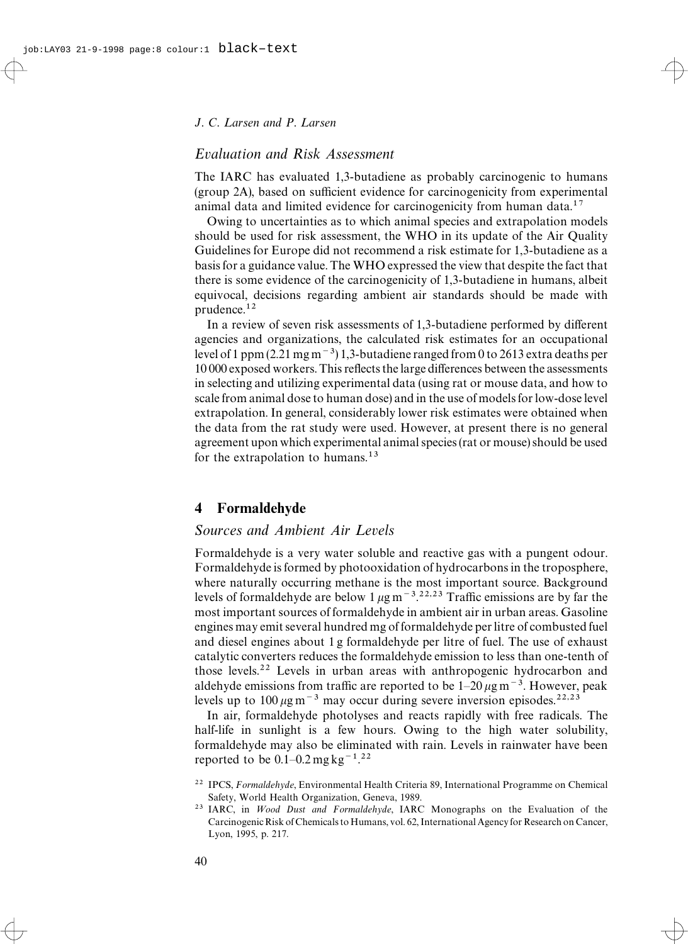## *Evaluation and Risk Assessment*

The IARC has evaluated 1,3-butadiene as probably carcinogenic to humans (group 2A), based on sufficient evidence for carcinogenicity from experimental animal data and limited evidence for carcinogenicity from human data.<sup>17</sup>

Owing to uncertainties as to which animal species and extrapolation models should be used for risk assessment, the WHO in its update of the Air Quality Guidelines for Europe did not recommend a risk estimate for 1,3-butadiene as a basis for a guidance value. The WHO expressed the view that despite the fact that there is some evidence of the carcinogenicity of 1,3-butadiene in humans, albeit equivocal, decisions regarding ambient air standards should be made with prudence.12

In a review of seven risk assessments of 1,3-butadiene performed by different agencies and organizations, the calculated risk estimates for an occupational level of 1 ppm  $(2.21 \text{ mg m}^{-3})$  1,3-butadiene ranged from 0 to 2613 extra deaths per 10 000 exposed workers. This reflects the large differences between the assessments in selecting and utilizing experimental data (using rat or mouse data, and how to scale from animal dose to human dose) and in the use of models for low-dose level extrapolation. In general, considerably lower risk estimates were obtained when the data from the rat study were used. However, at present there is no general agreement upon which experimental animal species (rat or mouse) should be used for the extrapolation to humans. $13$ 

### 4 Formaldehyde

### *Sources and Ambient Air Levels*

Formaldehyde is a very water soluble and reactive gas with a pungent odour. Formaldehyde is formed by photooxidation of hydrocarbons in the troposphere, where naturally occurring methane is the most important source. Background levels of formaldehyde are below  $1 \mu g$  m<sup>-3.22,23</sup> Traffic emissions are by far the most important sources of formaldehyde in ambient air in urban areas. Gasoline engines may emit several hundred mg of formaldehyde per litre of combusted fuel and diesel engines about 1 g formaldehyde per litre of fuel. The use of exhaust catalytic converters reduces the formaldehyde emission to less than one-tenth of those levels.22 Levels in urban areas with anthropogenic hydrocarbon and aldehyde emissions from traffic are reported to be  $1-20 \mu g m^{-3}$ . However, peak levels up to  $100 \,\mu g \,\text{m}^{-3}$  may occur during severe inversion episodes.<sup>22,23</sup>

In air, formaldehyde photolyses and reacts rapidly with free radicals. The half-life in sunlight is a few hours. Owing to the high water solubility, formaldehyde may also be eliminated with rain. Levels in rainwater have been reported to be  $0.1 - 0.2$  mg kg<sup>-1.22</sup>

<sup>22</sup> IPCS, *Formaldehyde*, Environmental Health Criteria 89, International Programme on Chemical Safety, World Health Organization, Geneva, 1989.

<sup>23</sup> IARC, in *Wood Dust and Formaldehyde*, IARC Monographs on the Evaluation of the Carcinogenic Risk of Chemicals to Humans, vol. 62, International Agency for Research on Cancer, Lyon, 1995, p. 217.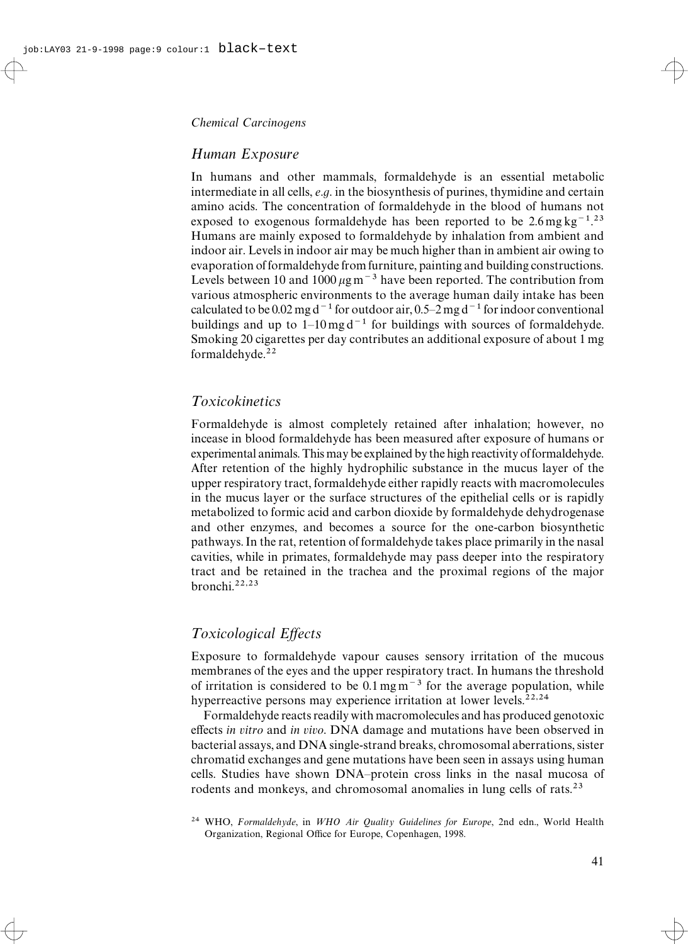#### *Human Exposure*

In humans and other mammals, formaldehyde is an essential metabolic intermediate in all cells, *e*.*g*. in the biosynthesis of purines, thymidine and certain amino acids. The concentration of formaldehyde in the blood of humans not exposed to exogenous formaldehyde has been reported to be  $2.6 \text{ mg kg}^{-1}$ .<sup>23</sup> Humans are mainly exposed to formaldehyde by inhalation from ambient and indoor air. Levels in indoor air may be much higher than in ambient air owing to evaporation of formaldehyde from furniture, painting and building constructions. Levels between 10 and 1000  $\mu$ g m<sup>-3</sup> have been reported. The contribution from various atmospheric environments to the average human daily intake has been calculated to be  $0.02 \text{ mg d}^{-1}$  for outdoor air,  $0.5-2 \text{ mg d}^{-1}$  for indoor conventional buildings and up to  $1-10 \,\text{mg d}^{-1}$  for buildings with sources of formaldehyde. Smoking 20 cigarettes per day contributes an additional exposure of about 1 mg formaldehyde.22

# *Toxicokinetics*

Formaldehyde is almost completely retained after inhalation; however, no incease in blood formaldehyde has been measured after exposure of humans or experimental animals. This may be explained by the high reactivity of formaldehyde. After retention of the highly hydrophilic substance in the mucus layer of the upper respiratory tract, formaldehyde either rapidly reacts with macromolecules in the mucus layer or the surface structures of the epithelial cells or is rapidly metabolized to formic acid and carbon dioxide by formaldehyde dehydrogenase and other enzymes, and becomes a source for the one-carbon biosynthetic pathways. In the rat, retention of formaldehyde takes place primarily in the nasal cavities, while in primates, formaldehyde may pass deeper into the respiratory tract and be retained in the trachea and the proximal regions of the major bronchi.22,23

# *Toxicological Effects*

Exposure to formaldehyde vapour causes sensory irritation of the mucous membranes of the eyes and the upper respiratory tract. In humans the threshold of irritation is considered to be  $0.1 \,\mathrm{mg\,m}^{-3}$  for the average population, while hyperreactive persons may experience irritation at lower levels.<sup>22,24</sup>

Formaldehyde reacts readily with macromolecules and has produced genotoxic effects *in vitro* and *in vivo*. DNA damage and mutations have been observed in bacterial assays, and DNA single-strand breaks, chromosomal aberrations, sister chromatid exchanges and gene mutations have been seen in assays using human cells. Studies have shown DNA*—*protein cross links in the nasal mucosa of rodents and monkeys, and chromosomal anomalies in lung cells of rats.<sup>23</sup>

<sup>24</sup> WHO, *Formaldehyde*, in *WHO Air Quality Guidelines for Europe*, 2nd edn., World Health Organization, Regional Office for Europe, Copenhagen, 1998.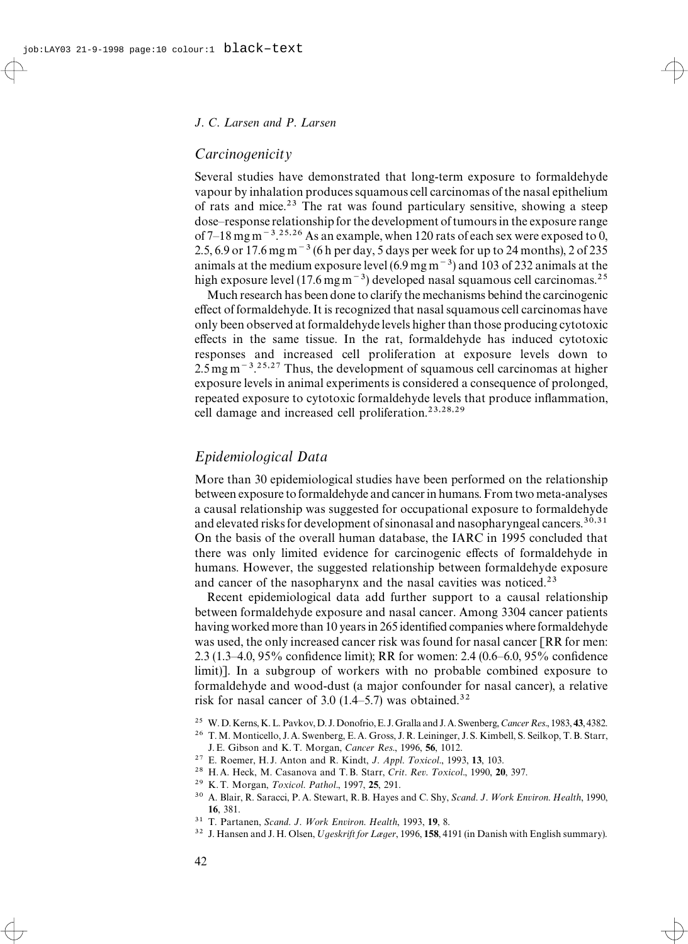### *Carcinogenicity*

Several studies have demonstrated that long-term exposure to formaldehyde vapour by inhalation produces squamous cell carcinomas of the nasal epithelium of rats and mice.<sup>23</sup> The rat was found particulary sensitive, showing a steep dose*—*response relationship for the development of tumours in the exposure range of  $7-18$  mg m<sup> $-3.25,26$ </sup> As an example, when 120 rats of each sex were exposed to 0, 2.5, 6.9 or 17.6 mg m<sup> $-3$ </sup> (6 h per day, 5 days per week for up to 24 months), 2 of 235 animals at the medium exposure level  $(6.9 \text{ mg m}^{-3})$  and 103 of 232 animals at the high exposure level (17.6 mg m<sup> $-3$ </sup>) developed nasal squamous cell carcinomas.<sup>25</sup>

Much research has been done to clarify the mechanisms behind the carcinogenic effect of formaldehyde. It is recognized that nasal squamous cell carcinomas have only been observed at formaldehyde levels higher than those producing cytotoxic effects in the same tissue. In the rat, formaldehyde has induced cytotoxic responses and increased cell proliferation at exposure levels down to  $2.5$  mg m<sup> $-3.25,27$ </sup> Thus, the development of squamous cell carcinomas at higher exposure levels in animal experiments is considered a consequence of prolonged, repeated exposure to cytotoxic formaldehyde levels that produce inflammation, cell damage and increased cell proliferation.23,28,29

# *Epidemiological Data*

More than 30 epidemiological studies have been performed on the relationship between exposure to formaldehyde and cancer in humans. From two meta-analyses a causal relationship was suggested for occupational exposure to formaldehyde and elevated risks for development of sinonasal and nasopharyngeal cancers.<sup>30,31</sup> On the basis of the overall human database, the IARC in 1995 concluded that there was only limited evidence for carcinogenic effects of formaldehyde in humans. However, the suggested relationship between formaldehyde exposure and cancer of the nasopharynx and the nasal cavities was noticed.<sup>23</sup>

Recent epidemiological data add further support to a causal relationship between formaldehyde exposure and nasal cancer. Among 3304 cancer patients having worked more than 10 years in 265 identified companies where formaldehyde was used, the only increased cancer risk was found for nasal cancer [RR for men: 2.3 (1.3*—*4.0, 95% confidence limit); RR for women: 2.4 (0.6*—*6.0, 95% confidence limit)]. In a subgroup of workers with no probable combined exposure to formaldehyde and wood-dust (a major confounder for nasal cancer), a relative risk for nasal cancer of 3.0 (1.4*—*5.7) was obtained.32

- 27 E. Roemer, H. J. Anton and R. Kindt, *J*. *Appl*. *Toxicol*., 1993, 13, 103.
- 28 H. A. Heck, M. Casanova and T. B. Starr, *Crit*. *Rev*. *Toxicol*., 1990, 20, 397.
- 29 K. T. Morgan, *Toxicol*. *Pathol*., 1997, 25, 291.
- 30 A. Blair, R. Saracci, P. A. Stewart, R. B. Hayes and C. Shy, *Scand*. *J*. *Work Environ*. *Health*, 1990, 16, 381.
- 31 T. Partanen, *Scand*. *J*. *Work Environ*. *Health*, 1993, 19, 8.
- 32 J. Hansen and J. H. Olsen, *Ugeskrift for Læger*, 1996, 158, 4191 (in Danish with English summary).

<sup>25</sup> W. D. Kerns, K. L. Pavkov, D. J. Donofrio, E. J. Gralla and J. A. Swenberg, *Cancer Res*., 1983, 43, 4382.

<sup>26</sup> T.M. Monticello, J. A. Swenberg, E. A. Gross, J. R. Leininger, J. S. Kimbell, S. Seilkop, T. B. Starr, J. E. Gibson and K. T. Morgan, *Cancer Res*., 1996, 56, 1012.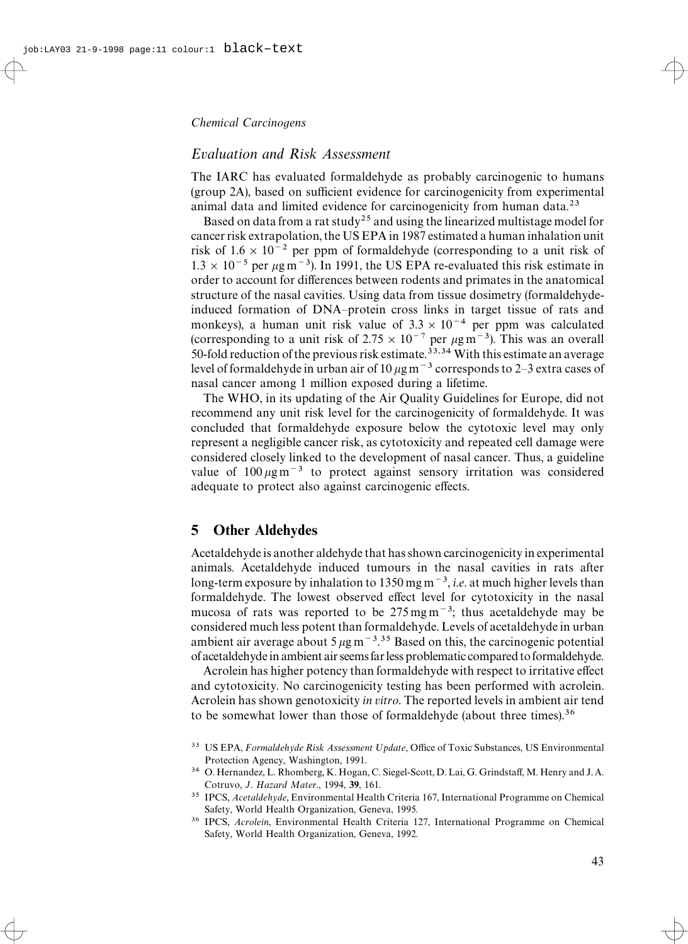# *Evaluation and Risk Assessment*

The IARC has evaluated formaldehyde as probably carcinogenic to humans (group 2A), based on sufficient evidence for carcinogenicity from experimental animal data and limited evidence for carcinogenicity from human data.<sup>23</sup>

Based on data from a rat study<sup>25</sup> and using the linearized multistage model for cancer risk extrapolation, the US EPA in 1987 estimated a human inhalation unit risk of  $1.6 \times 10^{-2}$  per ppm of formaldehyde (corresponding to a unit risk of  $1.3 \times 10^{-5}$  per  $\mu$ g m<sup>-3</sup>). In 1991, the US EPA re-evaluated this risk estimate in order to account for differences between rodents and primates in the anatomical structure of the nasal cavities. Using data from tissue dosimetry (formaldehydeinduced formation of DNA*—*protein cross links in target tissue of rats and monkeys), a human unit risk value of  $3.3 \times 10^{-4}$  per ppm was calculated (corresponding to a unit risk of  $2.75 \times 10^{-7}$  per  $\mu$ g m<sup>-3</sup>). This was an overall 50-fold reduction of the previous risk estimate.<sup>33,34</sup> With this estimate an average level of formaldehyde in urban air of 10  $\mu$ g m<sup>-3</sup> corresponds to 2–3 extra cases of nasal cancer among 1 million exposed during a lifetime.

The WHO, in its updating of the Air Quality Guidelines for Europe, did not recommend any unit risk level for the carcinogenicity of formaldehyde. It was concluded that formaldehyde exposure below the cytotoxic level may only represent a negligible cancer risk, as cytotoxicity and repeated cell damage were considered closely linked to the development of nasal cancer. Thus, a guideline value of  $100 \mu g m^{-3}$  to protect against sensory irritation was considered adequate to protect also against carcinogenic effects.

# 5 Other Aldehydes

Acetaldehyde is another aldehyde that has shown carcinogenicity in experimental animals. Acetaldehyde induced tumours in the nasal cavities in rats after long-term exposure by inhalation to 1350 mg m<sup>-3</sup>, *i.e.* at much higher levels than formaldehyde. The lowest observed effect level for cytotoxicity in the nasal mucosa of rats was reported to be  $275 \,\text{mg m}^{-3}$ ; thus acetaldehyde may be considered much less potent than formaldehyde. Levels of acetaldehyde in urban ambient air average about  $5 \mu g m^{-3.35}$  Based on this, the carcinogenic potential of acetaldehyde in ambient air seems farless problematic compared toformaldehyde.

Acrolein has higher potency than formaldehyde with respect to irritative effect and cytotoxicity. No carcinogenicity testing has been performed with acrolein. Acrolein has shown genotoxicity *in vitro*. The reported levels in ambient air tend to be somewhat lower than those of formaldehyde (about three times).<sup>36</sup>

<sup>33</sup> US EPA, *Formaldehyde Risk Assessment Update*, Office of Toxic Substances, US Environmental Protection Agency, Washington, 1991.

<sup>34</sup> O. Hernandez, L. Rhomberg, K. Hogan, C. Siegel-Scott, D. Lai, G. Grindstaff, M. Henry and J. A. Cotruvo, *J*. *Hazard Mater*., 1994, 39, 161.

<sup>35</sup> IPCS, *Acetaldehyde*, Environmental Health Criteria 167, International Programme on Chemical Safety, World Health Organization, Geneva, 1995.

<sup>36</sup> IPCS, *Acrolein*, Environmental Health Criteria 127, International Programme on Chemical Safety, World Health Organization, Geneva, 1992.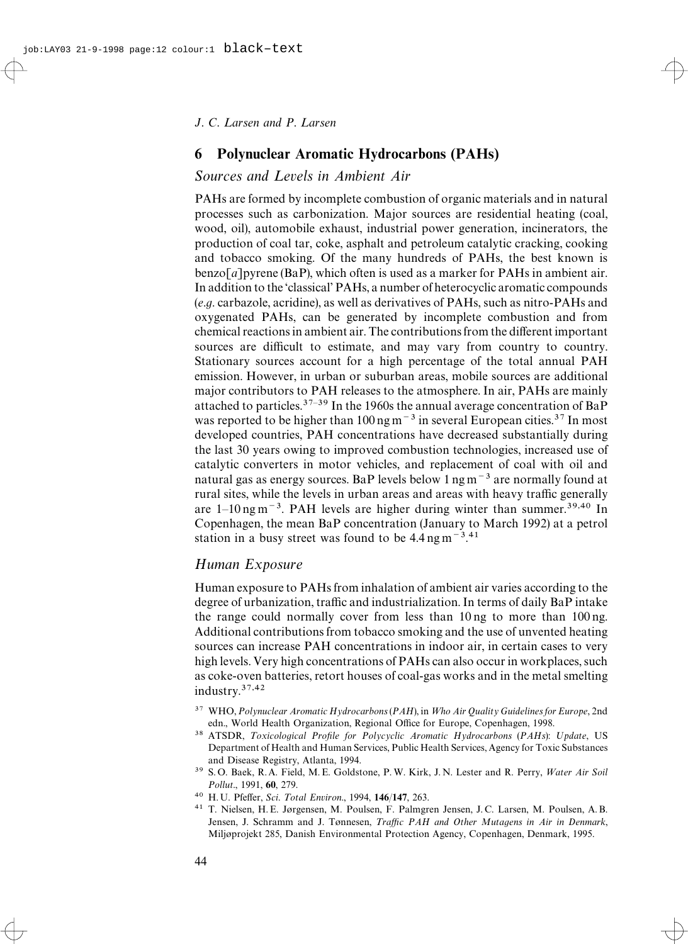# 6 Polynuclear Aromatic Hydrocarbons (PAHs)

# *Sources and Levels in Ambient Air*

PAHs are formed by incomplete combustion of organic materials and in natural processes such as carbonization. Major sources are residential heating (coal, wood, oil), automobile exhaust, industrial power generation, incinerators, the production of coal tar, coke, asphalt and petroleum catalytic cracking, cooking and tobacco smoking. Of the many hundreds of PAHs, the best known is benzo[*a*]pyrene (BaP), which often is used as a marker for PAHs in ambient air. In addition to the 'classical' PAHs, a number of heterocyclic aromatic compounds (*e*.*g*. carbazole, acridine), as well as derivatives of PAHs, such as nitro-PAHs and oxygenated PAHs, can be generated by incomplete combustion and from chemical reactions in ambient air. The contributions from the different important sources are difficult to estimate, and may vary from country to country. Stationary sources account for a high percentage of the total annual PAH emission. However, in urban or suburban areas, mobile sources are additional major contributors to PAH releases to the atmosphere. In air, PAHs are mainly attached to particles.37*—*39 In the 1960s the annual average concentration of BaP was reported to be higher than 100 ng  $m^{-3}$  in several European cities.<sup>37</sup> In most developed countries, PAH concentrations have decreased substantially during the last 30 years owing to improved combustion technologies, increased use of catalytic converters in motor vehicles, and replacement of coal with oil and natural gas as energy sources. BaP levels below 1 ng  $m<sup>-3</sup>$  are normally found at rural sites, while the levels in urban areas and areas with heavy traffic generally are  $1-10$  ng m<sup>-3</sup>. PAH levels are higher during winter than summer.<sup>39,40</sup> In Copenhagen, the mean BaP concentration (January to March 1992) at a petrol station in a busy street was found to be  $4.4 \text{ ng m}^{-3}$ .<sup>41</sup>

#### *Human Exposure*

Human exposure to PAHs from inhalation of ambient air varies according to the degree of urbanization, traffic and industrialization. In terms of daily BaP intake the range could normally cover from less than 10 ng to more than 100 ng. Additional contributions from tobacco smoking and the use of unvented heating sources can increase PAH concentrations in indoor air, in certain cases to very high levels. Very high concentrations of PAHs can also occur in workplaces, such as coke-oven batteries, retort houses of coal-gas works and in the metal smelting industry.37,42

- 37 WHO, *Polynuclear Aromatic Hydrocarbons*(*PAH*), in *Who Air Quality Guidelines for Europe*, 2nd edn., World Health Organization, Regional Office for Europe, Copenhagen, 1998.
- 38 ATSDR, *Toxicological Profile for Polycyclic Aromatic Hydrocarbons* (*PAHs*): *Update*, US Department of Health and Human Services, Public Health Services, Agency for Toxic Substances and Disease Registry, Atlanta, 1994.
- 39 S. O. Baek, R. A. Field, M. E. Goldstone, P. W. Kirk, J. N. Lester and R. Perry, *Water Air Soil Pollut*., 1991, 60, 279.
- 40 H. U. Pfeffer, *Sci*. *Total Environ*., 1994, 146/147, 263.
- 41 T. Nielsen, H. E. Jørgensen, M. Poulsen, F. Palmgren Jensen, J. C. Larsen, M. Poulsen, A. B. Jensen, J. Schramm and J. Tønnesen, *Traffic PAH and Other Mutagens in Air in Denmark*, Miljøprojekt 285, Danish Environmental Protection Agency, Copenhagen, Denmark, 1995.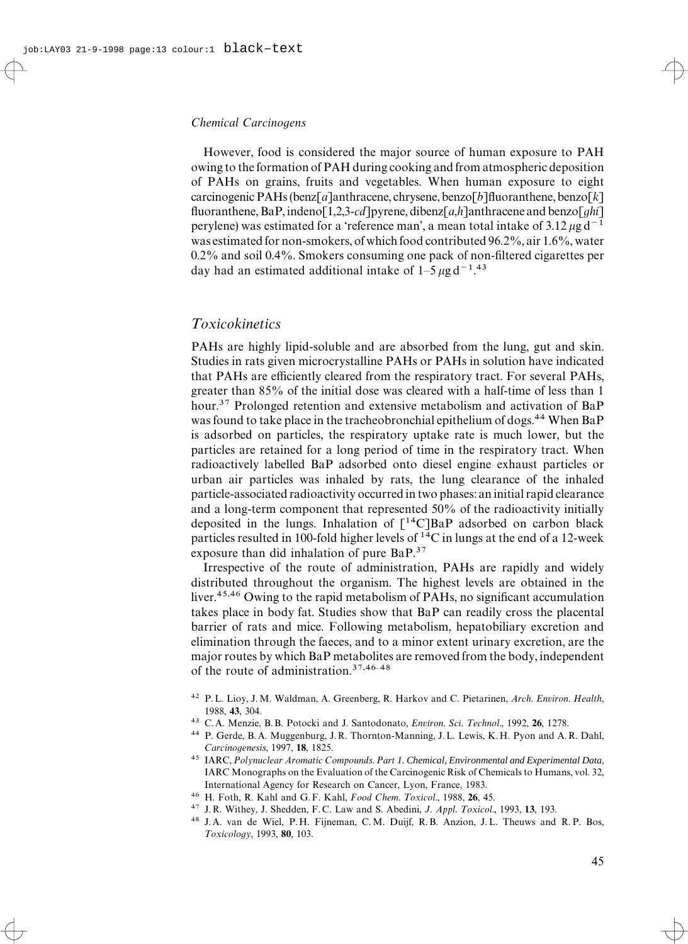However, food is considered the major source of human exposure to PAH owing to the formation of PAH during cooking and from atmospheric deposition of PAHs on grains, fruits and vegetables. When human exposure to eight carcinogenic PAHs (benz[*a*]anthracene, chrysene, benzo[*b*]fluoranthene, benzo[*k*] fluoranthene, BaP, indeno[1,2,3-*cd*]pyrene, dibenz[*a*,*h*]anthracene and benzo[*ghi*] perylene) was estimated for a 'reference man', a mean total intake of  $3.12 \mu$ g d<sup>-1</sup> was estimated for non-smokers, of which food contributed 96.2%, air 1.6%, water 0.2% and soil 0.4%. Smokers consuming one pack of non-filtered cigarettes per day had an estimated additional intake of  $1-5 \mu$ g d<sup>-1.43</sup>

### *Toxicokinetics*

PAHs are highly lipid-soluble and are absorbed from the lung, gut and skin. Studies in rats given microcrystalline PAHs or PAHs in solution have indicated that PAHs are efficiently cleared from the respiratory tract. For several PAHs, greater than 85% of the initial dose was cleared with a half-time of less than 1 hour.<sup>37</sup> Prolonged retention and extensive metabolism and activation of BaP was found to take place in the tracheobronchial epithelium of dogs.<sup>44</sup> When BaP is adsorbed on particles, the respiratory uptake rate is much lower, but the particles are retained for a long period of time in the respiratory tract. When radioactively labelled BaP adsorbed onto diesel engine exhaust particles or urban air particles was inhaled by rats, the lung clearance of the inhaled particle-associated radioactivity occurred in two phases: an initial rapid clearance and a long-term component that represented 50% of the radioactivity initially deposited in the lungs. Inhalation of  $\lceil {}^{14}C \rceil BaP$  adsorbed on carbon black particles resulted in 100-fold higher levels of  $^{14}$ C in lungs at the end of a 12-week exposure than did inhalation of pure BaP.37

Irrespective of the route of administration, PAHs are rapidly and widely distributed throughout the organism. The highest levels are obtained in the liver.45,46 Owing to the rapid metabolism of PAHs, no significant accumulation takes place in body fat. Studies show that BaP can readily cross the placental barrier of rats and mice. Following metabolism, hepatobiliary excretion and elimination through the faeces, and to a minor extent urinary excretion, are the major routes by which BaP metabolites are removed from the body, independent of the route of administration.37,46*—*48

- 42 P. L. Lioy, J. M. Waldman, A. Greenberg, R. Harkov and C. Pietarinen, *Arch*. *Environ*. *Health*, 1988, 43, 304.
- 43 C. A. Menzie, B. B. Potocki and J. Santodonato, *Environ*. *Sci*. *Technol*., 1992, 26, 1278.
- 44 P. Gerde, B. A. Muggenburg, J. R. Thornton-Manning, J. L. Lewis, K. H. Pyon and A. R. Dahl, *Carcinogenesis*, 1997, 18, 1825.
- 45 IARC, *Polynuclear Aromatic Compounds*. *Part 1. Chemical, Environmental and Experimental Data*, IARC Monographs on the Evaluation of the Carcinogenic Risk of Chemicals to Humans, vol. 32, International Agency for Research on Cancer, Lyon, France, 1983.
- 46 H. Foth, R. Kahl and G. F. Kahl, *Food Chem*. *Toxicol*., 1988, 26, 45.
- 47 J. R. Withey, J. Shedden, F. C. Law and S. Abedini, *J*. *Appl*. *Toxicol*., 1993, 13, 193.
- <sup>48</sup> J.A. van de Wiel, P.H. Fijneman, C.M. Duijf, R.B. Anzion, J.L. Theuws and R.P. Bos, *Toxicology*, 1993, 80, 103.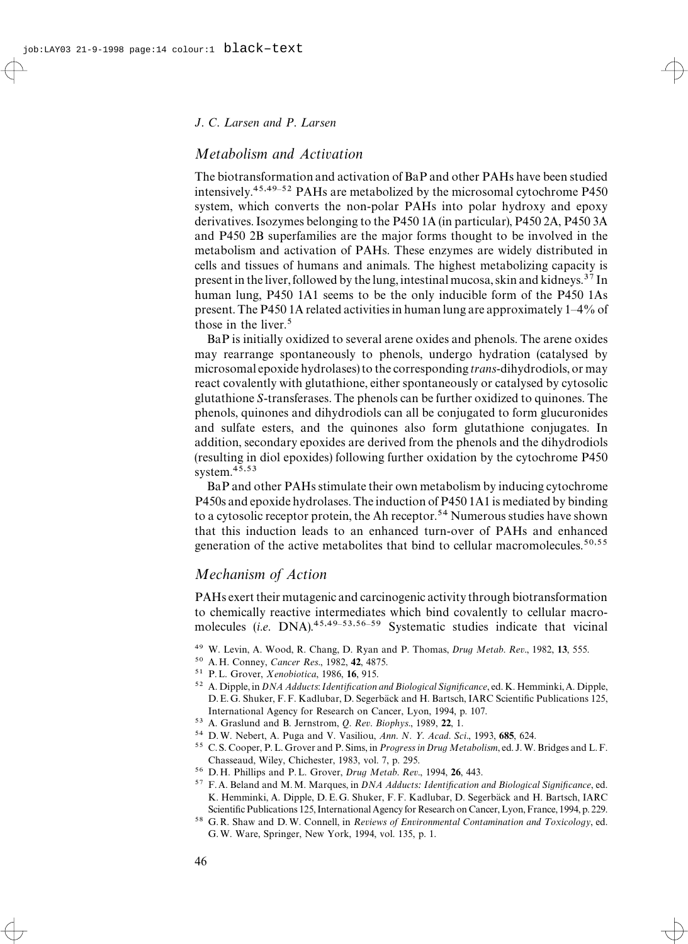# *Metabolism and Activation*

The biotransformation and activation of BaP and other PAHs have been studied intensively.45,49*—*52 PAHs are metabolized by the microsomal cytochrome P450 system, which converts the non-polar PAHs into polar hydroxy and epoxy derivatives. Isozymes belonging to the P450 1A (in particular), P450 2A, P450 3A and P450 2B superfamilies are the major forms thought to be involved in the metabolism and activation of PAHs. These enzymes are widely distributed in cells and tissues of humans and animals. The highest metabolizing capacity is present in the liver, followed by the lung, intestinal mucosa, skin and kidneys.37 In human lung, P450 1A1 seems to be the only inducible form of the P450 1As present. The P450 1A related activities in human lung are approximately 1*—*4% of those in the liver. $5$ 

BaP is initially oxidized to several arene oxides and phenols. The arene oxides may rearrange spontaneously to phenols, undergo hydration (catalysed by microsomal epoxide hydrolases) to the corresponding *trans*-dihydrodiols, or may react covalently with glutathione, either spontaneously or catalysed by cytosolic glutathione *S*-transferases. The phenols can be further oxidized to quinones. The phenols, quinones and dihydrodiols can all be conjugated to form glucuronides and sulfate esters, and the quinones also form glutathione conjugates. In addition, secondary epoxides are derived from the phenols and the dihydrodiols (resulting in diol epoxides) following further oxidation by the cytochrome P450 system. $45,53$ 

BaP and other PAHs stimulate their own metabolism by inducing cytochrome P450s and epoxide hydrolases. The induction of P450 1A1 is mediated by binding to a cytosolic receptor protein, the Ah receptor.<sup>54</sup> Numerous studies have shown that this induction leads to an enhanced turn-over of PAHs and enhanced generation of the active metabolites that bind to cellular macromolecules.<sup>50,55</sup>

# *Mechanism of Action*

PAHs exert their mutagenic and carcinogenic activity through biotransformation to chemically reactive intermediates which bind covalently to cellular macromolecules (*i.e.* DNA).<sup>45,49–53,56–59</sup> Systematic studies indicate that vicinal

- 49 W. Levin, A. Wood, R. Chang, D. Ryan and P. Thomas, *Drug Metab*. *Rev*., 1982, 13, 555.
- 50 A. H. Conney, *Cancer Res*., 1982, 42, 4875.
- 51 P. L. Grover, *Xenobiotica*, 1986, 16, 915.
- 52 A. Dipple, in *DNA Adducts*: *Identification and Biological Significance*, ed. K. Hemminki, A. Dipple, D. E. G. Shuker, F. F. Kadlubar, D. Segerbäck and H. Bartsch, IARC Scientific Publications 125, International Agency for Research on Cancer, Lyon, 1994, p. 107.
- 53 A. Graslund and B. Jernstrom, *Q*. *Rev*. *Biophys*., 1989, 22, 1.
- 54 D.W. Nebert, A. Puga and V. Vasiliou, *Ann*. *N*. *Y*. *Acad*. *Sci*., 1993, 685, 624.
- 55 C. S. Cooper, P. L. Grover and P. Sims, in *Progress in Drug Metabolism*, ed. J.W. Bridges and L. F. Chasseaud, Wiley, Chichester, 1983, vol. 7, p. 295.
- 56 D. H. Phillips and P. L. Grover, *Drug Metab*. *Rev*., 1994, 26, 443.
- 57 F. A. Beland and M.M. Marques, in *DNA Adducts: Identification and Biological Significance*, ed. K. Hemminki, A. Dipple, D. E. G. Shuker, F. F. Kadlubar, D. Segerbäck and H. Bartsch, IARC Scientific Publications 125, International Agency for Research on Cancer, Lyon, France, 1994, p. 229.
- 58 G. R. Shaw and D.W. Connell, in *Reviews of Environmental Contamination and Toxicology*, ed. G.W. Ware, Springer, New York, 1994, vol. 135, p. 1.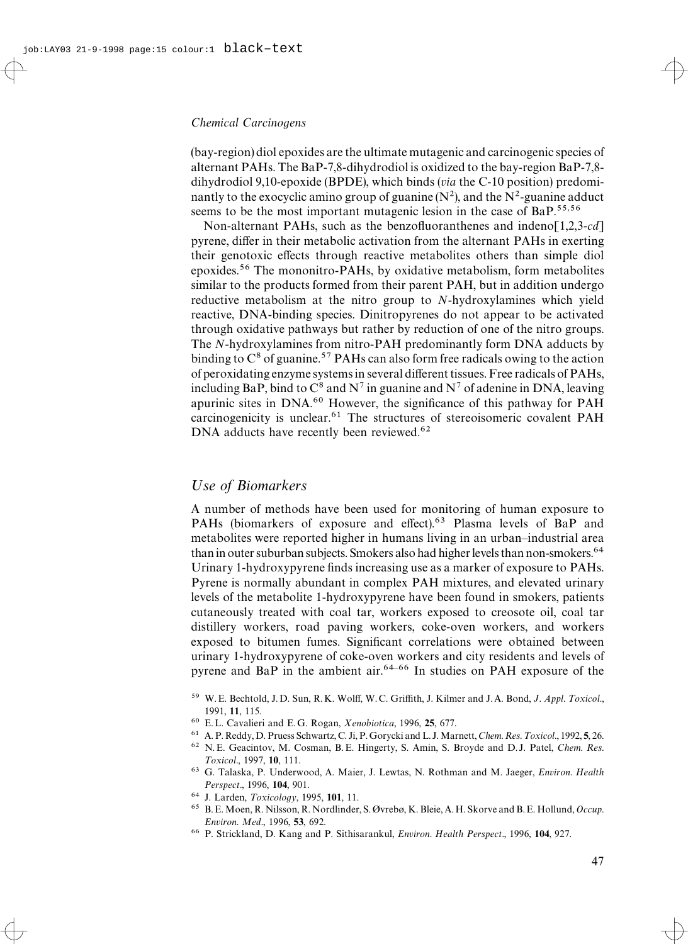(bay-region) diol epoxides are the ultimate mutagenic and carcinogenic species of alternant PAHs. The BaP-7,8-dihydrodiol is oxidized to the bay-region BaP-7,8 dihydrodiol 9,10-epoxide (BPDE), which binds (*via* the C-10 position) predominantly to the exocyclic amino group of guanine  $(N^2)$ , and the  $N^2$ -guanine adduct seems to be the most important mutagenic lesion in the case of BaP.<sup>55,56</sup>

Non-alternant PAHs, such as the benzofluoranthenes and indeno[1,2,3-*cd*] pyrene, differ in their metabolic activation from the alternant PAHs in exerting their genotoxic effects through reactive metabolites others than simple diol epoxides.56 The mononitro-PAHs, by oxidative metabolism, form metabolites similar to the products formed from their parent PAH, but in addition undergo reductive metabolism at the nitro group to *N*-hydroxylamines which yield reactive, DNA-binding species. Dinitropyrenes do not appear to be activated through oxidative pathways but rather by reduction of one of the nitro groups. The *N*-hydroxylamines from nitro-PAH predominantly form DNA adducts by binding to  $C^8$  of guanine.<sup>57</sup> PAHs can also form free radicals owing to the action of peroxidating enzyme systems in several different tissues. Free radicals of PAHs, including BaP, bind to  $C^8$  and N<sup>7</sup> in guanine and N<sup>7</sup> of adenine in DNA, leaving apurinic sites in DNA.60 However, the significance of this pathway for PAH carcinogenicity is unclear.61 The structures of stereoisomeric covalent PAH DNA adducts have recently been reviewed.<sup>62</sup>

# *Use of Biomarkers*

A number of methods have been used for monitoring of human exposure to PAHs (biomarkers of exposure and effect).<sup>63</sup> Plasma levels of BaP and metabolites were reported higher in humans living in an urban*—*industrial area than in outer suburban subjects. Smokers also had higher levels than non-smokers.<sup>64</sup> Urinary 1-hydroxypyrene finds increasing use as a marker of exposure to PAHs. Pyrene is normally abundant in complex PAH mixtures, and elevated urinary levels of the metabolite 1-hydroxypyrene have been found in smokers, patients cutaneously treated with coal tar, workers exposed to creosote oil, coal tar distillery workers, road paving workers, coke-oven workers, and workers exposed to bitumen fumes. Significant correlations were obtained between urinary 1-hydroxypyrene of coke-oven workers and city residents and levels of pyrene and BaP in the ambient air.64*—*66 In studies on PAH exposure of the

- 59 W. E. Bechtold, J. D. Sun, R. K. Wolff, W. C. Griffith, J. Kilmer and J. A. Bond, *J*. *Appl*. *Toxicol*., 1991, 11, 115.
- 60 E. L. Cavalieri and E. G. Rogan, *Xenobiotica*, 1996, 25, 677.
- 61 A. P. Reddy, D. Pruess Schwartz, C. Ji, P. Gorycki and L. J.Marnett, *Chem*. *Res*.*Toxicol*., 1992, 5, 26.
- 62 N. E. Geacintov, M. Cosman, B. E. Hingerty, S. Amin, S. Broyde and D. J. Patel, *Chem*. *Res*. *Toxicol*., 1997, 10, 111.
- 63 G. Talaska, P. Underwood, A. Maier, J. Lewtas, N. Rothman and M. Jaeger, *Environ*. *Health Perspect*., 1996, 104, 901.
- 64 J. Larden, *Toxicology*, 1995, 101, 11.
- 65 B. E. Moen, R. Nilsson, R. Nordlinder, S. Øvrebø, K. Bleie, A. H. Skorve and B. E. Hollund, *Occup*. *Environ*. *Med*., 1996, 53, 692.
- 66 P. Strickland, D. Kang and P. Sithisarankul, *Environ*. *Health Perspect*., 1996, 104, 927.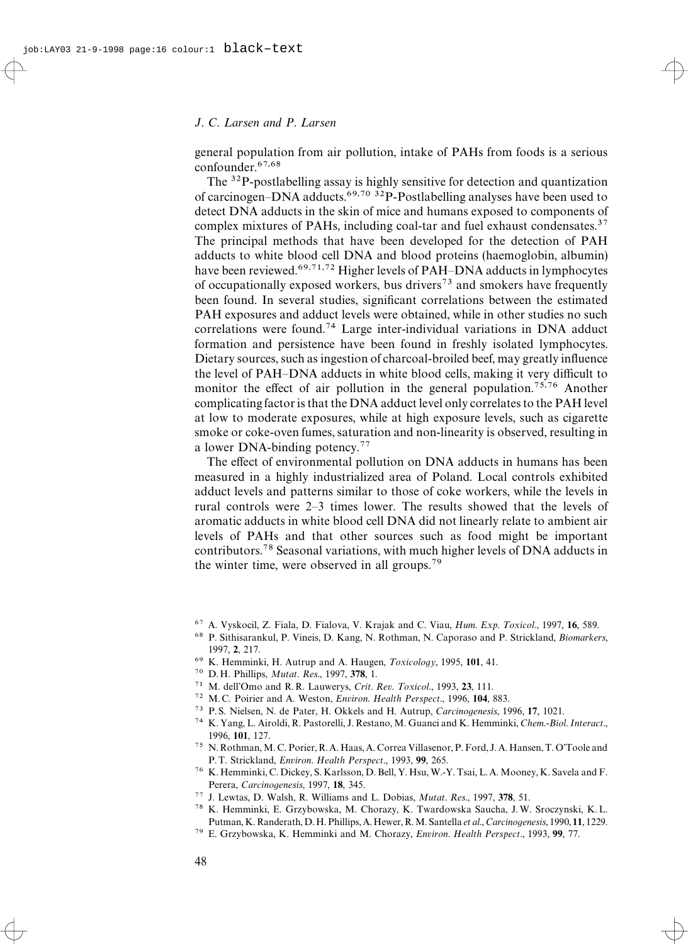general population from air pollution, intake of PAHs from foods is a serious confounder.67,68

The 32P-postlabelling assay is highly sensitive for detection and quantization of carcinogen*—*DNA adducts.69,70 32P-Postlabelling analyses have been used to detect DNA adducts in the skin of mice and humans exposed to components of complex mixtures of PAHs, including coal-tar and fuel exhaust condensates.<sup>37</sup> The principal methods that have been developed for the detection of PAH adducts to white blood cell DNA and blood proteins (haemoglobin, albumin) have been reviewed.<sup>69,71,72</sup> Higher levels of PAH–DNA adducts in lymphocytes of occupationally exposed workers, bus drivers<sup>73</sup> and smokers have frequently been found. In several studies, significant correlations between the estimated PAH exposures and adduct levels were obtained, while in other studies no such correlations were found.<sup>74</sup> Large inter-individual variations in DNA adduct formation and persistence have been found in freshly isolated lymphocytes. Dietary sources, such as ingestion of charcoal-broiled beef, may greatly influence the level of PAH*—*DNA adducts in white blood cells, making it very difficult to monitor the effect of air pollution in the general population.<sup>75,76</sup> Another complicating factor is that the DNA adduct level only correlates to the PAH level at low to moderate exposures, while at high exposure levels, such as cigarette smoke or coke-oven fumes, saturation and non-linearity is observed, resulting in a lower DNA-binding potency.77

The effect of environmental pollution on DNA adducts in humans has been measured in a highly industrialized area of Poland. Local controls exhibited adduct levels and patterns similar to those of coke workers, while the levels in rural controls were 2*—*3 times lower. The results showed that the levels of aromatic adducts in white blood cell DNA did not linearly relate to ambient air levels of PAHs and that other sources such as food might be important contributors.78 Seasonal variations, with much higher levels of DNA adducts in the winter time, were observed in all groups.79

- 67 A. Vyskocil, Z. Fiala, D. Fialova, V. Krajak and C. Viau, *Hum*. *Exp*. *Toxicol*., 1997, 16, 589.
- 68 P. Sithisarankul, P. Vineis, D. Kang, N. Rothman, N. Caporaso and P. Strickland, *Biomarkers*, 1997, 2, 217.
- 69 K. Hemminki, H. Autrup and A. Haugen, *Toxicology*, 1995, 101, 41.
- 70 D. H. Phillips, *Mutat*. *Res*., 1997, 378, 1.
- 71 M. dell'Omo and R. R. Lauwerys, *Crit*. *Rev*. *Toxicol*., 1993, 23, 111.
- 72 M. C. Poirier and A. Weston, *Environ*. *Health Perspect*., 1996, 104, 883.
- 73 P. S. Nielsen, N. de Pater, H. Okkels and H. Autrup, *Carcinogenesis*, 1996, 17, 1021.
- 74 K. Yang, L. Airoldi, R. Pastorelli, J. Restano, M. Guanci and K. Hemminki, *Chem*.-*Biol*. *Interact*., 1996, 101, 127.
- 75 N. Rothman, M. C. Porier, R. A. Haas, A. Correa Villasenor, P. Ford, J. A. Hansen, T. O'Toole and P. T. Strickland, *Environ*. *Health Perspect*., 1993, 99, 265.
- 76 K. Hemminki, C. Dickey, S. Karlsson, D. Bell, Y. Hsu, W.-Y. Tsai, L. A. Mooney, K. Savela and F. Perera, *Carcinogenesis*, 1997, 18, 345.
- 77 J. Lewtas, D. Walsh, R. Williams and L. Dobias, *Mutat*. *Res*., 1997, 378, 51.
- 78 K. Hemminki, E. Grzybowska, M. Chorazy, K. Twardowska Saucha, J.W. Sroczynski, K. L. Putman, K. Randerath, D. H. Phillips, A. Hewer, R.M. Santella *et al*., *Carcinogenesis*, 1990, 11, 1229.
- 79 E. Grzybowska, K. Hemminki and M. Chorazy, *Environ*. *Health Perspect*., 1993, 99, 77.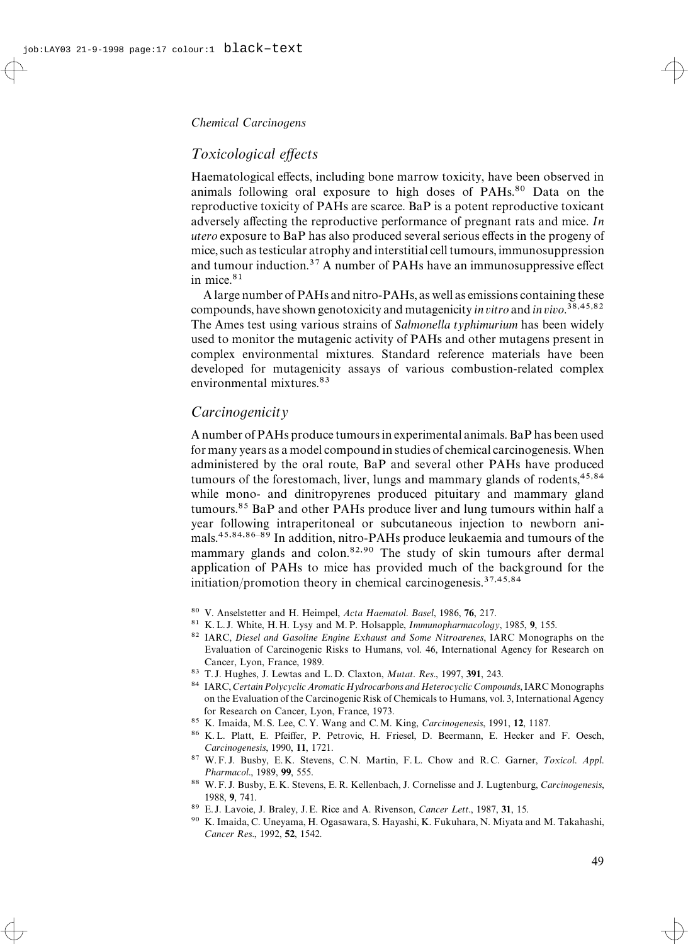# *Toxicological effects*

Haematological effects, including bone marrow toxicity, have been observed in animals following oral exposure to high doses of PAHs.80 Data on the reproductive toxicity of PAHs are scarce. BaP is a potent reproductive toxicant adversely affecting the reproductive performance of pregnant rats and mice. *In utero* exposure to BaP has also produced several serious effects in the progeny of mice, such as testicular atrophy and interstitial cell tumours, immunosuppression and tumour induction.37 A number of PAHs have an immunosuppressive effect in mice.<sup>81</sup>

A large number of PAHs and nitro-PAHs, as well as emissions containing these compounds, have shown genotoxicity and mutagenicity *in vitro* and *in vivo*.38,45,82 The Ames test using various strains of *Salmonella typhimurium* has been widely used to monitor the mutagenic activity of PAHs and other mutagens present in complex environmental mixtures. Standard reference materials have been developed for mutagenicity assays of various combustion-related complex environmental mixtures.<sup>83</sup>

### *Carcinogenicity*

A number of PAHs produce tumours in experimental animals. BaP has been used for many years as a model compound in studies of chemical carcinogenesis.When administered by the oral route, BaP and several other PAHs have produced tumours of the forestomach, liver, lungs and mammary glands of rodents,  $45,84$ while mono- and dinitropyrenes produced pituitary and mammary gland tumours.<sup>85</sup> BaP and other PAHs produce liver and lung tumours within half a year following intraperitoneal or subcutaneous injection to newborn animals.45,84,86*—*89 In addition, nitro-PAHs produce leukaemia and tumours of the mammary glands and colon.<sup>82,90</sup> The study of skin tumours after dermal application of PAHs to mice has provided much of the background for the initiation/promotion theory in chemical carcinogenesis. $37,45,84$ 

- 80 V. Anselstetter and H. Heimpel, *Acta Haematol*. *Basel*, 1986, 76, 217.
- 81 K. L. J. White, H. H. Lysy and M. P. Holsapple, *Immunopharmacology*, 1985, 9, 155.
- 82 IARC, *Diesel and Gasoline Engine Exhaust and Some Nitroarenes*, IARC Monographs on the Evaluation of Carcinogenic Risks to Humans, vol. 46, International Agency for Research on Cancer, Lyon, France, 1989.
- 83 T. J. Hughes, J. Lewtas and L. D. Claxton, *Mutat*. *Res*., 1997, 391, 243.
- 84 IARC, *Certain Polycyclic Aromatic Hydrocarbons and Heterocyclic Compounds*, IARCMonographs on the Evaluation of the Carcinogenic Risk of Chemicals to Humans, vol. 3, International Agency for Research on Cancer, Lyon, France, 1973.
- 85 K. Imaida, M. S. Lee, C. Y. Wang and C.M. King, *Carcinogenesis*, 1991, 12, 1187.
- 86 K. L. Platt, E. Pfeiffer, P. Petrovic, H. Friesel, D. Beermann, E. Hecker and F. Oesch, *Carcinogenesis*, 1990, 11, 1721.
- 87 W. F. J. Busby, E. K. Stevens, C. N. Martin, F. L. Chow and R. C. Garner, *Toxicol*. *Appl*. *Pharmacol*., 1989, 99, 555.
- 88 W. F. J. Busby, E. K. Stevens, E. R. Kellenbach, J. Cornelisse and J. Lugtenburg, *Carcinogenesis*, 1988, 9, 741.
- 89 E. J. Lavoie, J. Braley, J. E. Rice and A. Rivenson, *Cancer Lett*., 1987, 31, 15.
- 90 K. Imaida, C. Uneyama, H. Ogasawara, S. Hayashi, K. Fukuhara, N. Miyata and M. Takahashi, *Cancer Res*., 1992, 52, 1542.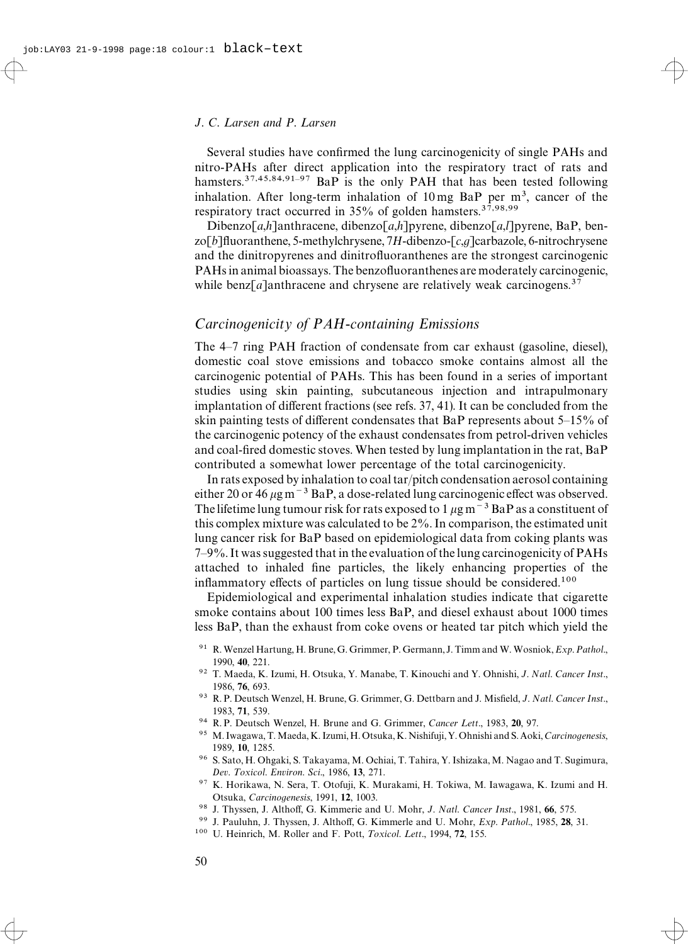Several studies have confirmed the lung carcinogenicity of single PAHs and nitro-PAHs after direct application into the respiratory tract of rats and hamsters.<sup>37,45,84,91–97</sup> BaP is the only PAH that has been tested following inhalation. After long-term inhalation of  $10 \text{ mg }$  BaP per  $\text{m}^3$ , cancer of the respiratory tract occurred in 35% of golden hamsters.<sup>37,98,99</sup>

Dibenzo[*a*,*h*]anthracene, dibenzo[*a*,*h*]pyrene, dibenzo[*a*,*l*]pyrene, BaP, benzo[*b*]fluoranthene, 5-methylchrysene, 7*H*-dibenzo-[*c*,*g*]carbazole, 6-nitrochrysene and the dinitropyrenes and dinitrofluoranthenes are the strongest carcinogenic PAHs in animal bioassays. The benzofluoranthenes are moderately carcinogenic, while benz[ $a$ ]anthracene and chrysene are relatively weak carcinogens.<sup>37</sup>

### *Carcinogenicity of PAH*-*containing Emissions*

The 4*—*7 ring PAH fraction of condensate from car exhaust (gasoline, diesel), domestic coal stove emissions and tobacco smoke contains almost all the carcinogenic potential of PAHs. This has been found in a series of important studies using skin painting, subcutaneous injection and intrapulmonary implantation of different fractions (see refs. 37, 41). It can be concluded from the skin painting tests of different condensates that BaP represents about 5*—*15% of the carcinogenic potency of the exhaust condensates from petrol-driven vehicles and coal-fired domestic stoves. When tested by lung implantation in the rat, BaP contributed a somewhat lower percentage of the total carcinogenicity.

In rats exposed by inhalation to coal tar/pitch condensation aerosol containing either 20 or 46  $\mu$ g m<sup>-3</sup> BaP, a dose-related lung carcinogenic effect was observed. The lifetime lung tumour risk for rats exposed to 1  $\mu$ g m<sup>-3</sup> BaP as a constituent of this complex mixture was calculated to be 2%. In comparison, the estimated unit lung cancer risk for BaP based on epidemiological data from coking plants was 7*—*9%. It was suggested that in the evaluation of the lung carcinogenicity of PAHs attached to inhaled fine particles, the likely enhancing properties of the inflammatory effects of particles on lung tissue should be considered.<sup>100</sup>

Epidemiological and experimental inhalation studies indicate that cigarette smoke contains about 100 times less BaP, and diesel exhaust about 1000 times less BaP, than the exhaust from coke ovens or heated tar pitch which yield the

- 91 R.Wenzel Hartung, H. Brune, G. Grimmer, P. Germann, J. Timm and W. Wosniok,*Exp*. *Pathol*., 1990, 40, 221.
- 92 T. Maeda, K. Izumi, H. Otsuka, Y. Manabe, T. Kinouchi and Y. Ohnishi, *J*. *Natl*. *Cancer Inst*., 1986, 76, 693.
- 93 R. P. Deutsch Wenzel, H. Brune, G. Grimmer, G. Dettbarn and J. Misfield, *J*. *Natl*. *Cancer Inst*., 1983, 71, 539.
- 94 R. P. Deutsch Wenzel, H. Brune and G. Grimmer, *Cancer Lett*., 1983, 20, 97.
- 95 M. Iwagawa, T. Maeda, K. Izumi, H. Otsuka, K. Nishifuji, Y. Ohnishi and S. Aoki, *Carcinogenesis*, 1989, 10, 1285.
- 96 S. Sato, H. Ohgaki, S. Takayama, M. Ochiai, T. Tahira, Y. Ishizaka, M. Nagao and T. Sugimura, *Dev*. *Toxicol*. *Environ*. *Sci*., 1986, 13, 271.
- 97 K. Horikawa, N. Sera, T. Otofuji, K. Murakami, H. Tokiwa, M. Iawagawa, K. Izumi and H. Otsuka, *Carcinogenesis*, 1991, 12, 1003.
- 98 J. Thyssen, J. Althoff, G. Kimmerie and U. Mohr, *J*. *Natl*. *Cancer Inst*., 1981, 66, 575.
- 99 J. Pauluhn, J. Thyssen, J. Althoff, G. Kimmerle and U. Mohr, *Exp*. *Pathol*., 1985, 28, 31.
- 100 U. Heinrich, M. Roller and F. Pott, *Toxicol*. *Lett*., 1994, 72, 155.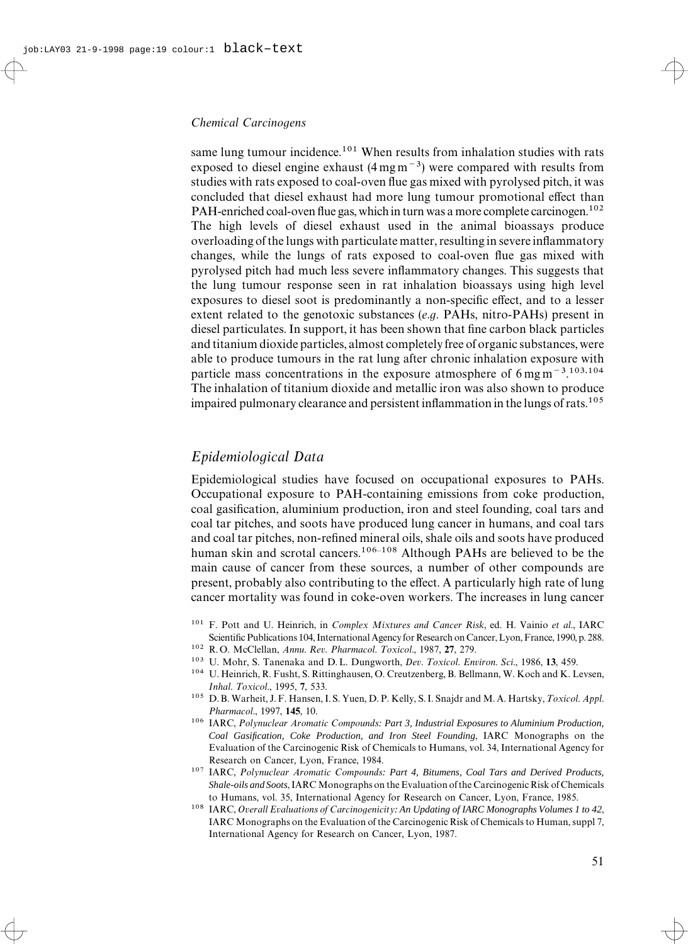same lung tumour incidence.<sup>101</sup> When results from inhalation studies with rats exposed to diesel engine exhaust  $(4 \text{ mg m}^{-3})$  were compared with results from studies with rats exposed to coal-oven flue gas mixed with pyrolysed pitch, it was concluded that diesel exhaust had more lung tumour promotional effect than PAH-enriched coal-oven flue gas, which in turn was a more complete carcinogen.<sup>102</sup> The high levels of diesel exhaust used in the animal bioassays produce overloading of the lungs with particulate matter, resulting in severe inflammatory changes, while the lungs of rats exposed to coal-oven flue gas mixed with pyrolysed pitch had much less severe inflammatory changes. This suggests that the lung tumour response seen in rat inhalation bioassays using high level exposures to diesel soot is predominantly a non-specific effect, and to a lesser extent related to the genotoxic substances (*e*.*g*. PAHs, nitro-PAHs) present in diesel particulates. In support, it has been shown that fine carbon black particles and titanium dioxide particles, almost completely free of organic substances, were able to produce tumours in the rat lung after chronic inhalation exposure with particle mass concentrations in the exposure atmosphere of  $6 \text{ mg m}^{-3}$ .<sup>103,104</sup> The inhalation of titanium dioxide and metallic iron was also shown to produce impaired pulmonary clearance and persistent inflammation in the lungs of rats.105

# *Epidemiological Data*

Epidemiological studies have focused on occupational exposures to PAHs. Occupational exposure to PAH-containing emissions from coke production, coal gasification, aluminium production, iron and steel founding, coal tars and coal tar pitches, and soots have produced lung cancer in humans, and coal tars and coal tar pitches, non-refined mineral oils, shale oils and soots have produced human skin and scrotal cancers.<sup>106–108</sup> Although PAHs are believed to be the main cause of cancer from these sources, a number of other compounds are present, probably also contributing to the effect. A particularly high rate of lung cancer mortality was found in coke-oven workers. The increases in lung cancer

- 101 F. Pott and U. Heinrich, in *Complex Mixtures and Cancer Risk*, ed. H. Vainio *et al*., IARC Scientific Publications 104, International Agency for Research on Cancer, Lyon, France, 1990, p. 288.
- 102 R. O. McClellan, *Annu*. *Rev*. *Pharmacol*. *Toxicol*., 1987, 27, 279.
- 103 U. Mohr, S. Tanenaka and D. L. Dungworth, *Dev*. *Toxicol*. *Environ*. *Sci*., 1986, 13, 459.
- 104 U. Heinrich, R. Fusht, S. Rittinghausen, O. Creutzenberg, B. Bellmann, W. Koch and K. Levsen, *Inhal*. *Toxicol*., 1995, 7, 533.
- 105 D. B. Warheit, J. F. Hansen, I. S. Yuen, D. P. Kelly, S. I. Snajdr and M. A. Hartsky, *Toxicol*. *Appl*. *Pharmacol*., 1997, 145, 10.
- 106 IARC, *Polynuclear Aromatic Compounds: Part 3, Industrial Exposures to Aluminium Production, Coal Gasification, Coke Production, and Iron Steel Founding*, IARC Monographs on the Evaluation of the Carcinogenic Risk of Chemicals to Humans, vol. 34, International Agency for Research on Cancer, Lyon, France, 1984.
- 107 IARC, *Polynuclear Aromatic Compounds: Part 4, Bitumens, Coal Tars and Derived Products, Shale-oils and Soots*, IARC Monographs on the Evaluation of the Carcinogenic Risk of Chemicals to Humans, vol. 35, International Agency for Research on Cancer, Lyon, France, 1985.
- 108 IARC, *Overall Evaluations of Carcinogenicity: An Updating of IARC Monographs Volumes 1 to 42*, IARC Monographs on the Evaluation of the Carcinogenic Risk of Chemicals to Human, suppl 7, International Agency for Research on Cancer, Lyon, 1987.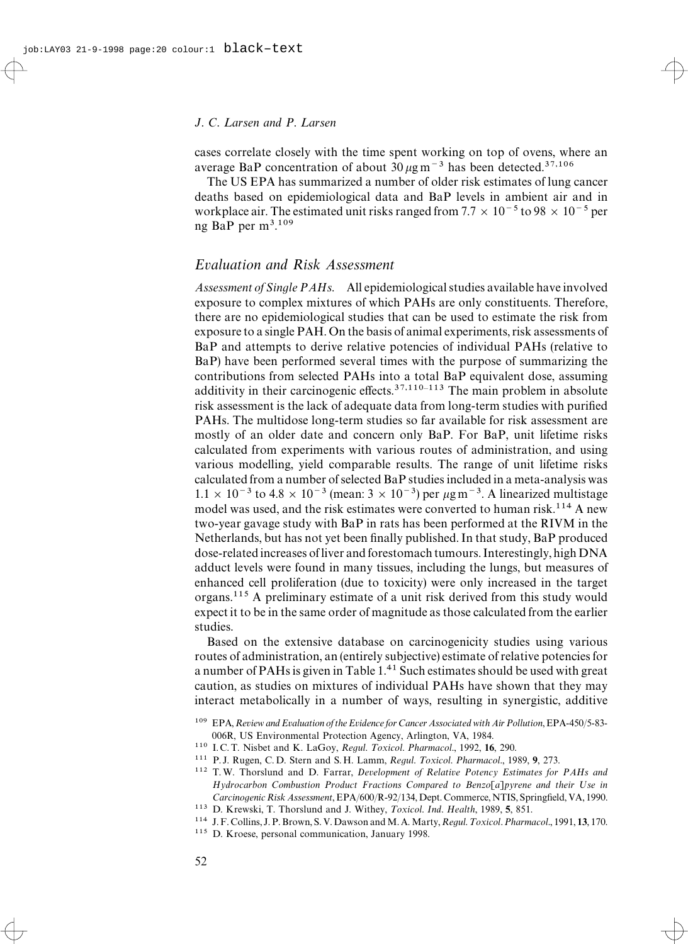cases correlate closely with the time spent working on top of ovens, where an average BaP concentration of about  $30 \mu g m^{-3}$  has been detected.<sup>37,106</sup>

The US EPA has summarized a number of older risk estimates of lung cancer deaths based on epidemiological data and BaP levels in ambient air and in workplace air. The estimated unit risks ranged from  $7.7 \times 10^{-5}$  to 98  $\times 10^{-5}$  per ng BaP per m3.109

# *Evaluation and Risk Assessment*

*Assessment of Single PAHs*. All epidemiological studies available have involved exposure to complex mixtures of which PAHs are only constituents. Therefore, there are no epidemiological studies that can be used to estimate the risk from exposure to a single PAH. On the basis of animal experiments, risk assessments of BaP and attempts to derive relative potencies of individual PAHs (relative to BaP) have been performed several times with the purpose of summarizing the contributions from selected PAHs into a total BaP equivalent dose, assuming additivity in their carcinogenic effects.37,110*—*113 The main problem in absolute risk assessment is the lack of adequate data from long-term studies with purified PAHs. The multidose long-term studies so far available for risk assessment are mostly of an older date and concern only BaP. For BaP, unit lifetime risks calculated from experiments with various routes of administration, and using various modelling, yield comparable results. The range of unit lifetime risks calculated from a number of selected BaP studies included in a meta-analysis was  $1.1 \times 10^{-3}$  to  $4.8 \times 10^{-3}$  (mean:  $3 \times 10^{-3}$ ) per  $\mu$ g m<sup>-3</sup>. A linearized multistage model was used, and the risk estimates were converted to human risk.<sup>114</sup> A new two-year gavage study with BaP in rats has been performed at the RIVM in the Netherlands, but has not yet been finally published. In that study, BaP produced dose-related increases of liver and forestomach tumours. Interestingly, high DNA adduct levels were found in many tissues, including the lungs, but measures of enhanced cell proliferation (due to toxicity) were only increased in the target organs.115 A preliminary estimate of a unit risk derived from this study would expect it to be in the same order of magnitude as those calculated from the earlier studies.

Based on the extensive database on carcinogenicity studies using various routes of administration, an (entirely subjective) estimate of relative potencies for a number of PAHs is given in Table  $1<sup>41</sup>$  Such estimates should be used with great caution, as studies on mixtures of individual PAHs have shown that they may interact metabolically in a number of ways, resulting in synergistic, additive

<sup>109</sup> EPA, *Review and Evaluation of the Evidence for Cancer Associated with Air Pollution*, EPA-450/5-83- 006R, US Environmental Protection Agency, Arlington, VA, 1984.

<sup>110</sup> I. C. T. Nisbet and K. LaGoy, *Regul*. *Toxicol*. *Pharmacol*., 1992, 16, 290.

<sup>111</sup> P. J. Rugen, C. D. Stern and S. H. Lamm, *Regul*. *Toxicol*. *Pharmacol*., 1989, 9, 273.

<sup>112</sup> T.W. Thorslund and D. Farrar, *Development of Relative Potency Estimates for PAHs and Hydrocarbon Combustion Product Fractions Compared to Benzo*[*a*]*pyrene and their Use in Carcinogenic Risk Assessment*, EPA/600/R-92/134, Dept. Commerce, NTIS, Springfield, VA, 1990.

<sup>113</sup> D. Krewski, T. Thorslund and J. Withey, *Toxicol*. *Ind*. *Health*, 1989, 5, 851.

<sup>114</sup> J. F. Collins, J. P. Brown, S. V. Dawson andM. A. Marty, *Regul*.*Toxicol*.*Pharmacol*., 1991, 13, 170.

<sup>115</sup> D. Kroese, personal communication, January 1998.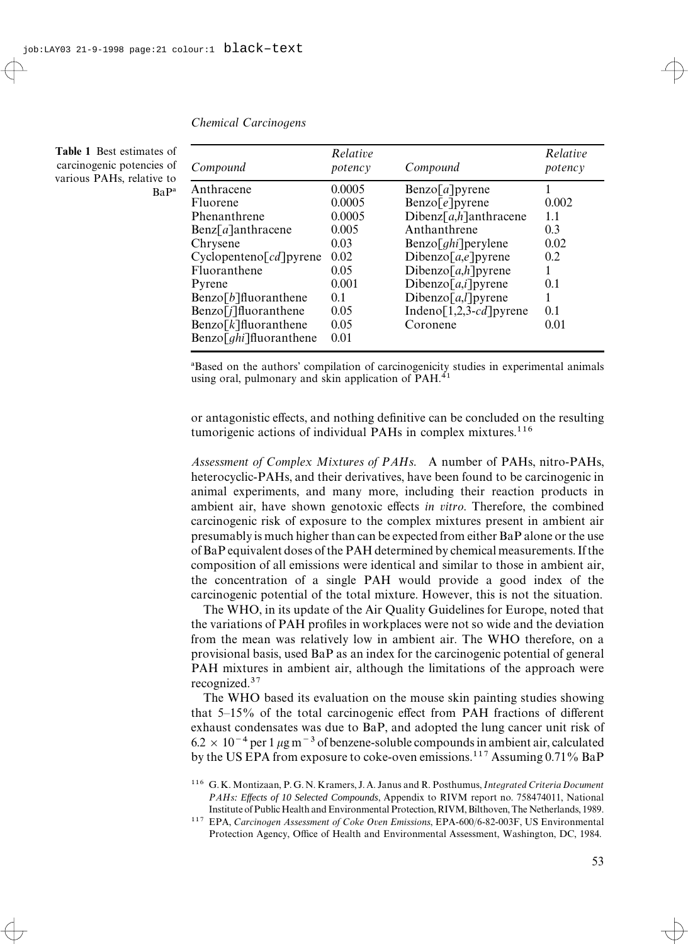Table 1 Best estimates of carcinogenic potencies of various PAHs, relative to  $BaP<sup>a</sup>$ 

| Compound                                                                                                                                                                            | Relative<br>potency                                                         | Compound                                                                                                                                                                                                                                                    | Relative<br><i>potency</i>                          |
|-------------------------------------------------------------------------------------------------------------------------------------------------------------------------------------|-----------------------------------------------------------------------------|-------------------------------------------------------------------------------------------------------------------------------------------------------------------------------------------------------------------------------------------------------------|-----------------------------------------------------|
| Anthracene<br>Fluorene<br>Phenanthrene<br>$\text{Benz}[a]$ anthracene<br>Chrysene<br>Cyclopenteno[cd]pyrene<br>Fluoranthene<br>Pyrene<br>$\text{Benzo}\lceil b \rceil$ fluoranthene | 0.0005<br>0.0005<br>0.0005<br>0.005<br>0.03<br>0.02<br>0.05<br>0.001<br>0.1 | $\text{Benzo}[a]$ pyrene<br>Benzo $\lceil e \rceil$ pyrene<br>Dibenz $[a,h]$ anthracene<br>Anthanthrene<br>$\text{Benzo}$ [ <i>ghi</i> ] perylene<br>Dibenzo $[a,e]$ pyrene<br>Dibenzo $[a,h]$ pyrene<br>Dibenzo $[a, i]$ pyrene<br>Dibenzo $[a, l]$ pyrene | 0.002<br>1.1<br>0.3<br>0.02<br>0.2<br>1<br>0.1<br>1 |
| $\text{Benzo}[i]$ fluoranthene<br>$\text{Benzo}\left[k\right]$ fluoranthene<br>Benzo[ghi]fluoranthene                                                                               | 0.05<br>0.05<br>0.01                                                        | Indeno $[1,2,3-cd]$ pyrene<br>Coronene                                                                                                                                                                                                                      | 0.1<br>0.01                                         |

<sup>a</sup>Based on the authors' compilation of carcinogenicity studies in experimental animals using oral, pulmonary and skin application of  $PAH<sup>41</sup>$ 

or antagonistic effects, and nothing definitive can be concluded on the resulting tumorigenic actions of individual PAHs in complex mixtures.<sup>116</sup>

*Assessment of Complex Mixtures of PAHs*. A number of PAHs, nitro-PAHs, heterocyclic-PAHs, and their derivatives, have been found to be carcinogenic in animal experiments, and many more, including their reaction products in ambient air, have shown genotoxic effects *in vitro*. Therefore, the combined carcinogenic risk of exposure to the complex mixtures present in ambient air presumably is much higher than can be expected from either BaP alone or the use of BaP equivalent doses of the PAH determined by chemical measurements. If the composition of all emissions were identical and similar to those in ambient air, the concentration of a single PAH would provide a good index of the carcinogenic potential of the total mixture. However, this is not the situation.

The WHO, in its update of the Air Quality Guidelines for Europe, noted that the variations of PAH profiles in workplaces were not so wide and the deviation from the mean was relatively low in ambient air. The WHO therefore, on a provisional basis, used BaP as an index for the carcinogenic potential of general PAH mixtures in ambient air, although the limitations of the approach were recognized.37

The WHO based its evaluation on the mouse skin painting studies showing that 5*—*15% of the total carcinogenic effect from PAH fractions of different exhaust condensates was due to BaP, and adopted the lung cancer unit risk of  $6.2 \times 10^{-4}$  per 1  $\mu$ g m<sup>-3</sup> of benzene-soluble compounds in ambient air, calculated by the US EPA from exposure to coke-oven emissions.117 Assuming 0.71% BaP

<sup>116</sup> G. K. Montizaan, P. G. N. Kramers, J. A. Janus and R. Posthumus, *Integrated Criteria Document PAHs: Effects of 10 Selected Compounds*, Appendix to RIVM report no. 758474011, National Institute of Public Health and Environmental Protection, RIVM, Bilthoven, The Netherlands, 1989.

<sup>117</sup> EPA, *Carcinogen Assessment of Coke Oven Emissions*, EPA-600/6-82-003F, US Environmental Protection Agency, Office of Health and Environmental Assessment, Washington, DC, 1984.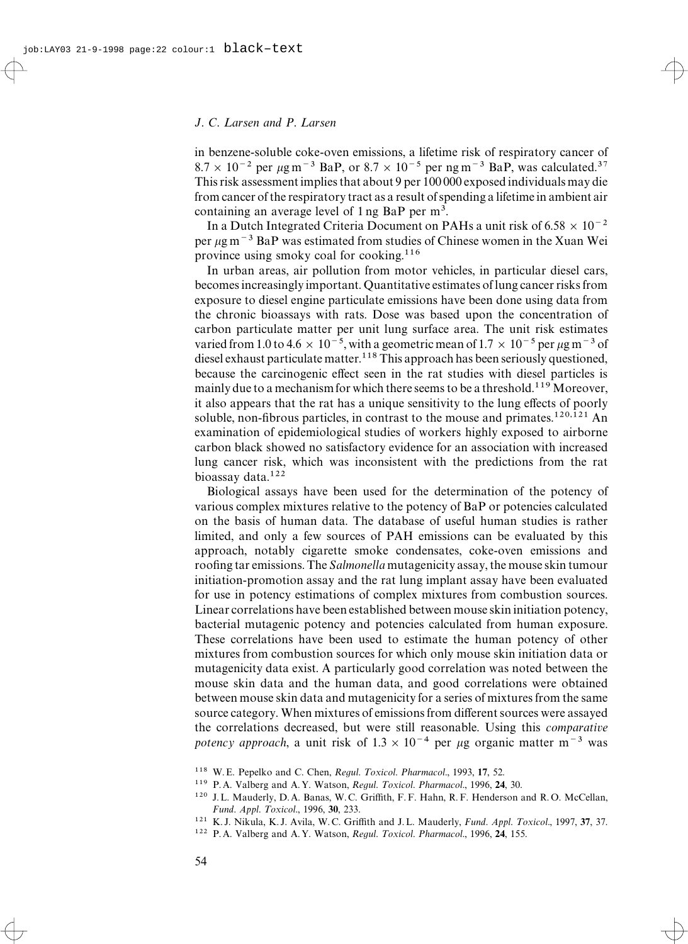in benzene-soluble coke-oven emissions, a lifetime risk of respiratory cancer of  $8.7\times10^{-2}$  per  $\mu$ g m<sup>-3</sup> BaP, or  $8.7\times10^{-5}$  per ng m<sup>-3</sup> BaP, was calculated.<sup>37</sup> This risk assessment implies that about 9 per 100 000 exposed individuals may die from cancer of the respiratory tract as a result of spending a lifetime in ambient air containing an average level of 1 ng BaP per m<sup>3</sup>.

In a Dutch Integrated Criteria Document on PAHs a unit risk of 6.58  $\times$  10<sup>-2</sup> per  $\mu$ g m<sup>-3</sup> BaP was estimated from studies of Chinese women in the Xuan Wei province using smoky coal for cooking.116

In urban areas, air pollution from motor vehicles, in particular diesel cars, becomes increasingly important. Quantitative estimates of lung cancer risks from exposure to diesel engine particulate emissions have been done using data from the chronic bioassays with rats. Dose was based upon the concentration of carbon particulate matter per unit lung surface area. The unit risk estimates varied from 1.0 to 4.6  $\times$  10<sup>-5</sup>, with a geometric mean of 1.7  $\times$  10<sup>-5</sup> per  $\mu$ g m<sup>-3</sup> of diesel exhaust particulate matter.<sup>118</sup> This approach has been seriously questioned, because the carcinogenic effect seen in the rat studies with diesel particles is mainly due to a mechanism for which there seems to be a threshold.<sup>119</sup> Moreover, it also appears that the rat has a unique sensitivity to the lung effects of poorly soluble, non-fibrous particles, in contrast to the mouse and primates.<sup>120,121</sup> An examination of epidemiological studies of workers highly exposed to airborne carbon black showed no satisfactory evidence for an association with increased lung cancer risk, which was inconsistent with the predictions from the rat bioassay data.<sup>122</sup>

Biological assays have been used for the determination of the potency of various complex mixtures relative to the potency of BaP or potencies calculated on the basis of human data. The database of useful human studies is rather limited, and only a few sources of PAH emissions can be evaluated by this approach, notably cigarette smoke condensates, coke-oven emissions and roofing tar emissions. The *Salmonella* mutagenicity assay, the mouse skin tumour initiation-promotion assay and the rat lung implant assay have been evaluated for use in potency estimations of complex mixtures from combustion sources. Linear correlations have been established between mouse skin initiation potency, bacterial mutagenic potency and potencies calculated from human exposure. These correlations have been used to estimate the human potency of other mixtures from combustion sources for which only mouse skin initiation data or mutagenicity data exist. A particularly good correlation was noted between the mouse skin data and the human data, and good correlations were obtained between mouse skin data and mutagenicity for a series of mixtures from the same source category. When mixtures of emissions from different sources were assayed the correlations decreased, but were still reasonable. Using this *comparative potency approach*, a unit risk of  $1.3 \times 10^{-4}$  per  $\mu$ g organic matter m<sup>-3</sup> was

- 121 K. J. Nikula, K. J. Avila, W. C. Griffith and J. L. Mauderly, *Fund*. *Appl*. *Toxicol*., 1997, 37, 37.
- 122 P. A. Valberg and A. Y. Watson, *Regul*. *Toxicol*. *Pharmacol*., 1996, 24, 155.

<sup>118</sup> W. E. Pepelko and C. Chen, *Regul*. *Toxicol*. *Pharmacol*., 1993, 17, 52.

<sup>119</sup> P. A. Valberg and A. Y. Watson, *Regul*. *Toxicol*. *Pharmacol*., 1996, 24, 30.

<sup>120</sup> J. L. Mauderly, D. A. Banas, W. C. Griffith, F. F. Hahn, R. F. Henderson and R. O. McCellan, *Fund*. *Appl*. *Toxicol*., 1996, 30, 233.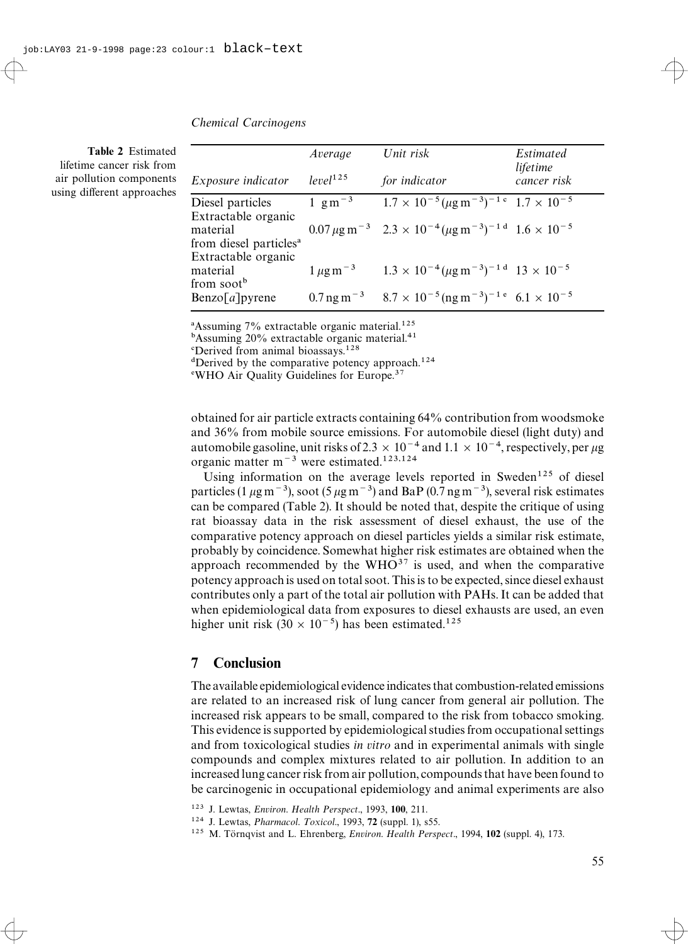Table 2 Estimated lifetime cancer risk from air pollution components using different approaches

|                                                                       | Average                                | Unit risk                                                                                         | Estimated<br>lifetime |
|-----------------------------------------------------------------------|----------------------------------------|---------------------------------------------------------------------------------------------------|-----------------------|
| Exposure indicator                                                    | level <sup>125</sup>                   | for indicator                                                                                     | cancer risk           |
| Diesel particles<br>Extractable organic                               | $1 \text{ gm}^{-3}$                    | $1.7 \times 10^{-5}$ (µg m <sup>-3</sup> ) <sup>-1 c</sup> $1.7 \times 10^{-5}$                   |                       |
| material<br>from diesel particles <sup>a</sup><br>Extractable organic |                                        | $0.07 \,\mu\text{g m}^{-3}$ $2.3 \times 10^{-4} (\mu\text{g m}^{-3})^{-1}$ d $1.6 \times 10^{-5}$ |                       |
| material<br>from soot <sup>b</sup>                                    | $1 \mu$ g m <sup><math>-3</math></sup> | $1.3 \times 10^{-4}$ (µg m <sup>-3</sup> ) <sup>-1 d</sup> 13 × 10 <sup>-5</sup>                  |                       |
| Benzo $[a]$ pyrene                                                    | $0.7$ ng m <sup>-3</sup>               | $8.7 \times 10^{-5}$ (ng m <sup>-3</sup> ) <sup>-1 e</sup> 6.1 $\times 10^{-5}$                   |                       |

 $A$ ssuming 7% extractable organic material.<sup>125</sup>

 $b$ Assuming 20% extractable organic material.<sup>41</sup>

*'*Derived from animal bioassays.<sup>128</sup>

<sup>d</sup>Derived by the comparative potency approach.<sup>124</sup>

<sup>e</sup>WHO Air Quality Guidelines for Europe.<sup>37</sup>

obtained for air particle extracts containing 64% contribution from woodsmoke and 36% from mobile source emissions. For automobile diesel (light duty) and automobile gasoline, unit risks of 2.3  $\times$  10<sup>-4</sup> and 1.1  $\times$  10<sup>-4</sup>, respectively, per  $\mu$ g organic matter  $m^{-3}$  were estimated.<sup>123,124</sup>

Using information on the average levels reported in Sweden<sup>125</sup> of diesel particles (1  $\mu$ g m<sup>-3</sup>), soot (5  $\mu$ g m<sup>-3</sup>) and BaP (0.7 ng m<sup>-3</sup>), several risk estimates can be compared (Table 2). It should be noted that, despite the critique of using rat bioassay data in the risk assessment of diesel exhaust, the use of the comparative potency approach on diesel particles yields a similar risk estimate, probably by coincidence. Somewhat higher risk estimates are obtained when the approach recommended by the  $WHO^{37}$  is used, and when the comparative potency approach is used on total soot. This is to be expected, since diesel exhaust contributes only a part of the total air pollution with PAHs. It can be added that when epidemiological data from exposures to diesel exhausts are used, an even higher unit risk (30  $\times$  10<sup>-5</sup>) has been estimated.<sup>125</sup>

# 7 Conclusion

The available epidemiological evidence indicates that combustion-related emissions are related to an increased risk of lung cancer from general air pollution. The increased risk appears to be small, compared to the risk from tobacco smoking. This evidence is supported by epidemiological studies from occupational settings and from toxicological studies *in vitro* and in experimental animals with single compounds and complex mixtures related to air pollution. In addition to an increased lung cancer risk from air pollution, compounds that have been found to be carcinogenic in occupational epidemiology and animal experiments are also

<sup>123</sup> J. Lewtas, *Environ*. *Health Perspect*., 1993, 100, 211.

<sup>124</sup> J. Lewtas, *Pharmacol*. *Toxicol*., 1993, 72 (suppl. 1), s55.

<sup>&</sup>lt;sup>125</sup> M. Törnqvist and L. Ehrenberg, *Environ. Health Perspect.*, 1994, 102 (suppl. 4), 173.